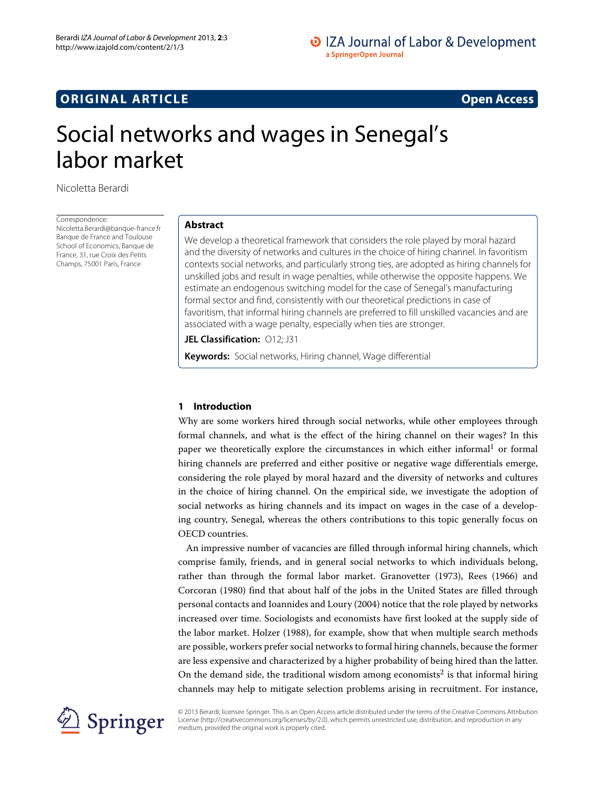## **ORIGINAL ARTICLE Open Access**

# Social networks and wages in Senegal's labor market

Nicoletta Berardi

Correspondence: Nicoletta.Berardi@banque-france.fr Banque de France and Toulouse School of Economics, Banque de France, 31, rue Croix des Petits Champs, 75001 Paris, France

### **Abstract**

We develop a theoretical framework that considers the role played by moral hazard and the diversity of networks and cultures in the choice of hiring channel. In favoritism contexts social networks, and particularly strong ties, are adopted as hiring channels for unskilled jobs and result in wage penalties, while otherwise the opposite happens. We estimate an endogenous switching model for the case of Senegal's manufacturing formal sector and find, consistently with our theoretical predictions in case of favoritism, that informal hiring channels are preferred to fill unskilled vacancies and are associated with a wage penalty, especially when ties are stronger.

**JEL Classification:** O12; J31

**Keywords:** Social networks, Hiring channel, Wage differential

#### <span id="page-0-0"></span>**1 Introduction**

Why are some workers hired through social networks, while other employees through formal channels, and what is the effect of the hiring channel on their wages? In this paper we theoretically explore the circumstances in which either informal<sup>1</sup> or formal hiring channels are preferred and either positive or negative wage differentials emerge, considering the role played by moral hazard and the diversity of networks and cultures in the choice of hiring channel. On the empirical side, we investigate the adoption of social networks as hiring channels and its impact on wages in the case of a developing country, Senegal, whereas the others contributions to this topic generally focus on OECD countries.

An impressive number of vacancies are filled through informal hiring channels, which comprise family, friends, and in general social networks to which individuals belong, rather than through the formal labor market. Granovetter [\(1973\)](#page-25-0), Rees [\(1966\)](#page-25-1) and Corcoran [\(1980\)](#page-24-0) find that about half of the jobs in the United States are filled through personal contacts and Ioannides and Loury [\(2004\)](#page-25-2) notice that the role played by networks increased over time. Sociologists and economists have first looked at the supply side of the labor market. Holzer [\(1988\)](#page-25-3), for example, show that when multiple search methods are possible, workers prefer social networks to formal hiring channels, because the former are less expensive and characterized by a higher probability of being hired than the latter. On the demand side, the traditional wisdom among economists<sup>2</sup> is that informal hiring channels may help to mitigate selection problems arising in recruitment. For instance,



© 2013 Berardi; licensee Springer. This is an Open Access article distributed under the terms of the Creative Commons Attribution License (http://creativecommons.org/licenses/by/2.0), which permits unrestricted use, distribution, and reproduction in any medium, provided the original work is properly cited.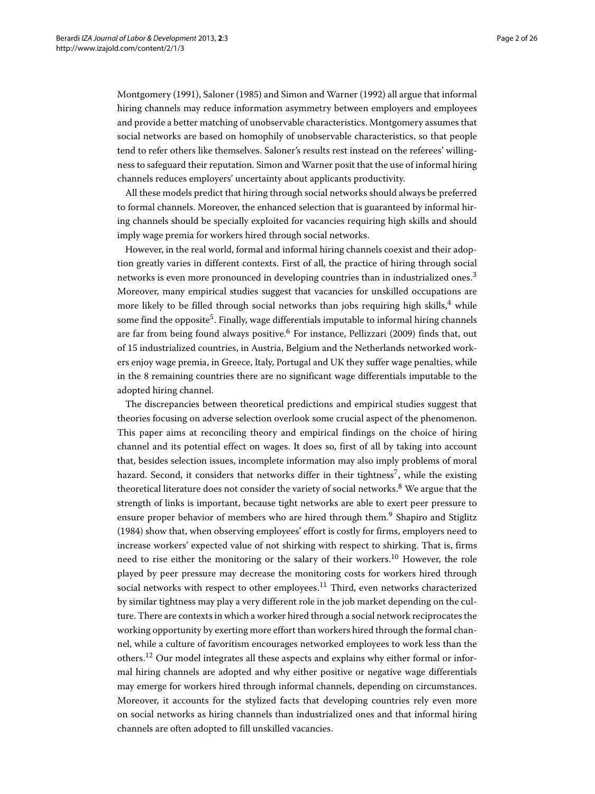Montgomery [\(1991\)](#page-25-4), Saloner [\(1985\)](#page-25-5) and Simon and Warner [\(1992\)](#page-25-6) all argue that informal hiring channels may reduce information asymmetry between employers and employees and provide a better matching of unobservable characteristics. Montgomery assumes that social networks are based on homophily of unobservable characteristics, so that people tend to refer others like themselves. Saloner's results rest instead on the referees' willingness to safeguard their reputation. Simon and Warner posit that the use of informal hiring channels reduces employers' uncertainty about applicants productivity.

All these models predict that hiring through social networks should always be preferred to formal channels. Moreover, the enhanced selection that is guaranteed by informal hiring channels should be specially exploited for vacancies requiring high skills and should imply wage premia for workers hired through social networks.

However, in the real world, formal and informal hiring channels coexist and their adoption greatly varies in different contexts. First of all, the practice of hiring through social networks is even more pronounced in developing countries than in industrialized ones.<sup>3</sup> Moreover, many empirical studies suggest that vacancies for unskilled occupations are more likely to be filled through social networks than jobs requiring high skills, $4$  while some find the opposite<sup>5</sup>. Finally, wage differentials imputable to informal hiring channels are far from being found always positive.<sup>6</sup> For instance, Pellizzari [\(2009\)](#page-25-7) finds that, out of 15 industrialized countries, in Austria, Belgium and the Netherlands networked workers enjoy wage premia, in Greece, Italy, Portugal and UK they suffer wage penalties, while in the 8 remaining countries there are no significant wage differentials imputable to the adopted hiring channel.

The discrepancies between theoretical predictions and empirical studies suggest that theories focusing on adverse selection overlook some crucial aspect of the phenomenon. This paper aims at reconciling theory and empirical findings on the choice of hiring channel and its potential effect on wages. It does so, first of all by taking into account that, besides selection issues, incomplete information may also imply problems of moral hazard. Second, it considers that networks differ in their tightness<sup>7</sup>, while the existing theoretical literature does not consider the variety of social networks. $8$  We argue that the strength of links is important, because tight networks are able to exert peer pressure to ensure proper behavior of members who are hired through them.<sup>9</sup> Shapiro and Stiglitz [\(1984\)](#page-25-8) show that, when observing employees' effort is costly for firms, employers need to increase workers' expected value of not shirking with respect to shirking. That is, firms need to rise either the monitoring or the salary of their workers.<sup>10</sup> However, the role played by peer pressure may decrease the monitoring costs for workers hired through social networks with respect to other employees.<sup>11</sup> Third, even networks characterized by similar tightness may play a very different role in the job market depending on the culture. There are contexts in which a worker hired through a social network reciprocates the working opportunity by exerting more effort than workers hired through the formal channel, while a culture of favoritism encourages networked employees to work less than the others.<sup>12</sup> Our model integrates all these aspects and explains why either formal or informal hiring channels are adopted and why either positive or negative wage differentials may emerge for workers hired through informal channels, depending on circumstances. Moreover, it accounts for the stylized facts that developing countries rely even more on social networks as hiring channels than industrialized ones and that informal hiring channels are often adopted to fill unskilled vacancies.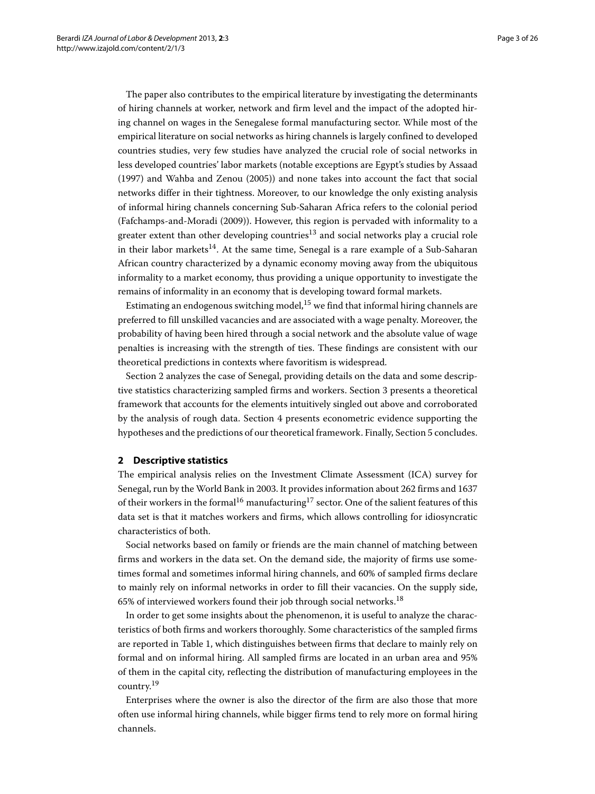The paper also contributes to the empirical literature by investigating the determinants of hiring channels at worker, network and firm level and the impact of the adopted hiring channel on wages in the Senegalese formal manufacturing sector. While most of the empirical literature on social networks as hiring channels is largely confined to developed countries studies, very few studies have analyzed the crucial role of social networks in less developed countries' labor markets (notable exceptions are Egypt's studies by Assaad [\(1997\)](#page-24-1) and Wahba and Zenou [\(2005\)](#page-25-9)) and none takes into account the fact that social networks differ in their tightness. Moreover, to our knowledge the only existing analysis of informal hiring channels concerning Sub-Saharan Africa refers to the colonial period (Fafchamps-and-Moradi [\(2009\)](#page-25-10)). However, this region is pervaded with informality to a greater extent than other developing countries<sup>13</sup> and social networks play a crucial role in their labor markets<sup>14</sup>. At the same time, Senegal is a rare example of a Sub-Saharan African country characterized by a dynamic economy moving away from the ubiquitous informality to a market economy, thus providing a unique opportunity to investigate the remains of informality in an economy that is developing toward formal markets.

Estimating an endogenous switching model,  $15$  we find that informal hiring channels are preferred to fill unskilled vacancies and are associated with a wage penalty. Moreover, the probability of having been hired through a social network and the absolute value of wage penalties is increasing with the strength of ties. These findings are consistent with our theoretical predictions in contexts where favoritism is widespread.

Section [2](#page-2-0) analyzes the case of Senegal, providing details on the data and some descriptive statistics characterizing sampled firms and workers. Section [3](#page-3-0) presents a theoretical framework that accounts for the elements intuitively singled out above and corroborated by the analysis of rough data. Section [4](#page-10-0) presents econometric evidence supporting the hypotheses and the predictions of our theoretical framework. Finally, Section [5](#page-16-0) concludes.

#### <span id="page-2-0"></span>**2 Descriptive statistics**

The empirical analysis relies on the Investment Climate Assessment (ICA) survey for Senegal, run by the World Bank in 2003. It provides information about 262 firms and 1637 of their workers in the formal<sup>16</sup> manufacturing<sup>17</sup> sector. One of the salient features of this data set is that it matches workers and firms, which allows controlling for idiosyncratic characteristics of both.

Social networks based on family or friends are the main channel of matching between firms and workers in the data set. On the demand side, the majority of firms use sometimes formal and sometimes informal hiring channels, and 60% of sampled firms declare to mainly rely on informal networks in order to fill their vacancies. On the supply side, 65% of interviewed workers found their job through social networks.<sup>18</sup>

In order to get some insights about the phenomenon, it is useful to analyze the characteristics of both firms and workers thoroughly. Some characteristics of the sampled firms are reported in Table [1,](#page-3-1) which distinguishes between firms that declare to mainly rely on formal and on informal hiring. All sampled firms are located in an urban area and 95% of them in the capital city, reflecting the distribution of manufacturing employees in the country.19

Enterprises where the owner is also the director of the firm are also those that more often use informal hiring channels, while bigger firms tend to rely more on formal hiring channels.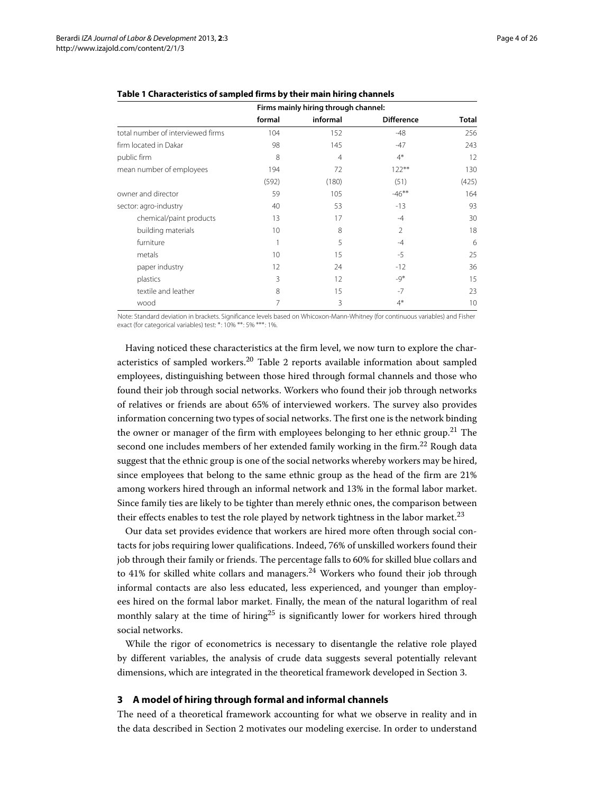<span id="page-3-1"></span>

|                                   | Firms mainly hiring through channel: |                |                   |              |
|-----------------------------------|--------------------------------------|----------------|-------------------|--------------|
|                                   | formal                               | informal       | <b>Difference</b> | <b>Total</b> |
| total number of interviewed firms | 104                                  | 152            | $-48$             | 256          |
| firm located in Dakar             | 98                                   | 145            | $-47$             | 243          |
| public firm                       | 8                                    | $\overline{4}$ | $4*$              | 12           |
| mean number of employees          | 194                                  | 72             | $122***$          | 130          |
|                                   | (592)                                | (180)          | (51)              | (425)        |
| owner and director                | 59                                   | 105            | $-46**$           | 164          |
| sector: agro-industry             | 40                                   | 53             | $-13$             | 93           |
| chemical/paint products           | 13                                   | 17             | $-4$              | 30           |
| building materials                | 10                                   | 8              | $\mathfrak{D}$    | 18           |
| furniture                         |                                      | 5              | $-4$              | 6            |
| metals                            | 10                                   | 15             | -5                | 25           |
| paper industry                    | 12                                   | 24             | $-12$             | 36           |
| plastics                          | 3                                    | 12             | $-9*$             | 15           |
| textile and leather               | 8                                    | 15             | $-7$              | 23           |
| wood                              | 7                                    | 3              | $4*$              | 10           |

#### **Table 1 Characteristics of sampled firms by their main hiring channels**

Note: Standard deviation in brackets. Significance levels based on Whicoxon-Mann-Whitney (for continuous variables) and Fisher exact (for categorical variables) test: ∗: 10% ∗∗: 5% ∗∗∗: 1%.

Having noticed these characteristics at the firm level, we now turn to explore the char-acteristics of sampled workers.<sup>20</sup> Table [2](#page-4-0) reports available information about sampled employees, distinguishing between those hired through formal channels and those who found their job through social networks. Workers who found their job through networks of relatives or friends are about 65% of interviewed workers. The survey also provides information concerning two types of social networks. The first one is the network binding the owner or manager of the firm with employees belonging to her ethnic group.<sup>21</sup> The second one includes members of her extended family working in the firm.<sup>22</sup> Rough data suggest that the ethnic group is one of the social networks whereby workers may be hired, since employees that belong to the same ethnic group as the head of the firm are 21% among workers hired through an informal network and 13% in the formal labor market. Since family ties are likely to be tighter than merely ethnic ones, the comparison between their effects enables to test the role played by network tightness in the labor market.<sup>23</sup>

Our data set provides evidence that workers are hired more often through social contacts for jobs requiring lower qualifications. Indeed, 76% of unskilled workers found their job through their family or friends. The percentage falls to 60% for skilled blue collars and to  $41\%$  for skilled white collars and managers.<sup>24</sup> Workers who found their job through informal contacts are also less educated, less experienced, and younger than employees hired on the formal labor market. Finally, the mean of the natural logarithm of real monthly salary at the time of hiring<sup>25</sup> is significantly lower for workers hired through social networks.

While the rigor of econometrics is necessary to disentangle the relative role played by different variables, the analysis of crude data suggests several potentially relevant dimensions, which are integrated in the theoretical framework developed in Section [3.](#page-3-0)

#### <span id="page-3-0"></span>**3 A model of hiring through formal and informal channels**

The need of a theoretical framework accounting for what we observe in reality and in the data described in Section [2](#page-2-0) motivates our modeling exercise. In order to understand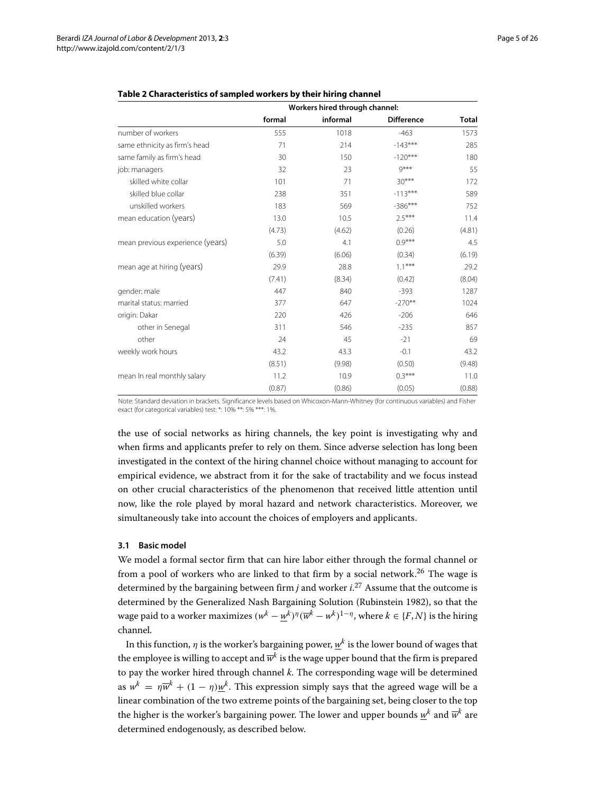|                                  | Workers hired through channel: |          |                   |              |
|----------------------------------|--------------------------------|----------|-------------------|--------------|
|                                  | formal                         | informal | <b>Difference</b> | <b>Total</b> |
| number of workers                | 555                            | 1018     | $-463$            | 1573         |
| same ethnicity as firm's head    | 71                             | 214      | $-143***$         | 285          |
| same family as firm's head       | 30                             | 150      | $-120***$         | 180          |
| job: managers                    | 32                             | 23       | $9***$            | 55           |
| skilled white collar             | 101                            | 71       | $30***$           | 172          |
| skilled blue collar              | 238                            | 351      | $-113***$         | 589          |
| unskilled workers                | 183                            | 569      | $-386***$         | 752          |
| mean education (years)           | 13.0                           | 10.5     | $2.5***$          | 11.4         |
|                                  | (4.73)                         | (4.62)   | (0.26)            | (4.81)       |
| mean previous experience (years) | 5.0                            | 4.1      | $0.9***$          | 4.5          |
|                                  | (6.39)                         | (6.06)   | (0.34)            | (6.19)       |
| mean age at hiring (years)       | 29.9                           | 28.8     | $1.1***$          | 29.2         |
|                                  | (7.41)                         | (8.34)   | (0.42)            | (8.04)       |
| gender: male                     | 447                            | 840      | $-393$            | 1287         |
| marital status: married          | 377                            | 647      | $-270**$          | 1024         |
| origin: Dakar                    | 220                            | 426      | $-206$            | 646          |
| other in Senegal                 | 311                            | 546      | $-235$            | 857          |
| other                            | 24                             | 45       | $-21$             | 69           |
| weekly work hours                | 43.2                           | 43.3     | $-0.1$            | 43.2         |
|                                  | (8.51)                         | (9.98)   | (0.50)            | (9.48)       |
| mean In real monthly salary      | 11.2                           | 10.9     | $0.3***$          | 11.0         |
|                                  | (0.87)                         | (0.86)   | (0.05)            | (0.88)       |

<span id="page-4-0"></span>

| Table 2 Characteristics of sampled workers by their hiring channel |  |  |
|--------------------------------------------------------------------|--|--|
|                                                                    |  |  |

Note: Standard deviation in brackets. Significance levels based on Whicoxon-Mann-Whitney (for continuous variables) and Fisher exact (for categorical variables) test: \*: 10% \*\*: 5% \*\*\*: 1%.

the use of social networks as hiring channels, the key point is investigating why and when firms and applicants prefer to rely on them. Since adverse selection has long been investigated in the context of the hiring channel choice without managing to account for empirical evidence, we abstract from it for the sake of tractability and we focus instead on other crucial characteristics of the phenomenon that received little attention until now, like the role played by moral hazard and network characteristics. Moreover, we simultaneously take into account the choices of employers and applicants.

#### <span id="page-4-1"></span>**3.1 Basic model**

We model a formal sector firm that can hire labor either through the formal channel or from a pool of workers who are linked to that firm by a social network.<sup>26</sup> The wage is determined by the bargaining between firm *j* and worker *i*. <sup>27</sup> Assume that the outcome is determined by the Generalized Nash Bargaining Solution (Rubinstein [1982\)](#page-25-11), so that the wage paid to a worker maximizes  $(w^k - w^k)^\eta (\overline{w}^k - w^k)^{1-\eta}$ , where  $k \in \{F, N\}$  is the hiring channel.

In this function,  $\eta$  is the worker's bargaining power,  $w^k$  is the lower bound of wages that the employee is willing to accept and  $\overline{w}^k$  is the wage upper bound that the firm is prepared to pay the worker hired through channel *k*. The corresponding wage will be determined as  $w^k = \eta \overline{w}^k + (1 - \eta)w^k$ . This expression simply says that the agreed wage will be a linear combination of the two extreme points of the bargaining set, being closer to the top the higher is the worker's bargaining power. The lower and upper bounds  $w^k$  and  $\overline{w}^k$  are determined endogenously, as described below.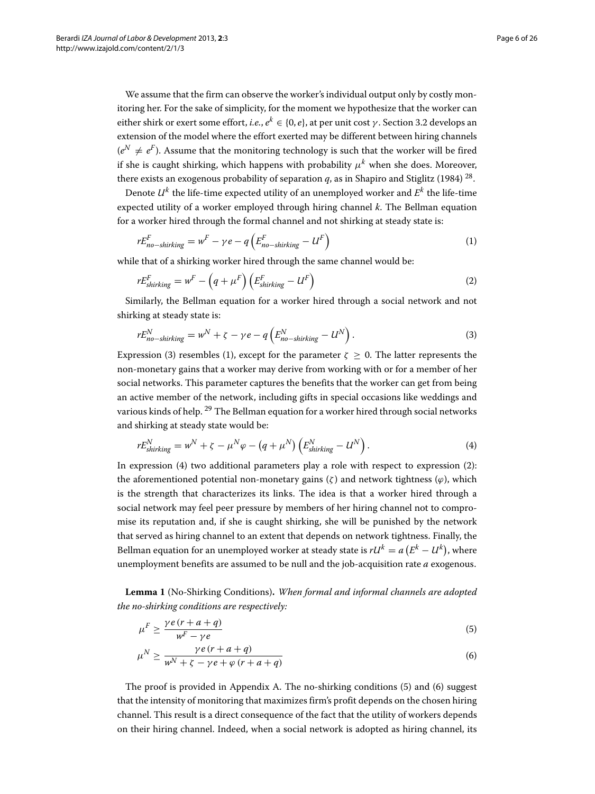We assume that the firm can observe the worker's individual output only by costly monitoring her. For the sake of simplicity, for the moment we hypothesize that the worker can either shirk or exert some effort, *i.e.*,  $e^k \in \{0, e\}$ , at per unit cost *γ*. Section [3.2](#page-7-0) develops an extension of the model where the effort exerted may be different between hiring channels  $(e^N \neq e^F)$ . Assume that the monitoring technology is such that the worker will be fired if she is caught shirking, which happens with probability  $\mu^k$  when she does. Moreover, there exists an exogenous probability of separation  $q$ , as in Shapiro and Stiglitz [\(1984\)](#page-25-8)<sup>28</sup>.

Denote  $U^k$  the life-time expected utility of an unemployed worker and  $E^k$  the life-time expected utility of a worker employed through hiring channel *k*. The Bellman equation for a worker hired through the formal channel and not shirking at steady state is:

<span id="page-5-3"></span><span id="page-5-1"></span>
$$
rE_{no-shirking}^F = w^F - \gamma e - q \left( E_{no-shirking}^F - U^F \right)
$$
 (1)

while that of a shirking worker hired through the same channel would be:

$$
rE_{shirling}^{F} = w^{F} - \left(q + \mu^{F}\right)\left(E_{shirling}^{F} - U^{F}\right)
$$
\n(2)

Similarly, the Bellman equation for a worker hired through a social network and not shirking at steady state is:

<span id="page-5-0"></span>
$$
rE_{no-shirking}^N = w^N + \zeta - \gamma e - q \left( E_{no-shirking}^N - U^N \right). \tag{3}
$$

Expression [\(3\)](#page-5-0) resembles [\(1\)](#page-5-1), except for the parameter  $\zeta \geq 0$ . The latter represents the non-monetary gains that a worker may derive from working with or for a member of her social networks. This parameter captures the benefits that the worker can get from being an active member of the network, including gifts in special occasions like weddings and various kinds of help. <sup>29</sup> The Bellman equation for a worker hired through social networks and shirking at steady state would be:

<span id="page-5-2"></span>
$$
rE_{shirking}^N = w^N + \zeta - \mu^N \varphi - (q + \mu^N) \left( E_{shirking}^N - U^N \right). \tag{4}
$$

In expression [\(4\)](#page-5-2) two additional parameters play a role with respect to expression [\(2\)](#page-5-3): the aforementioned potential non-monetary gains (*ζ* ) and network tightness (*ϕ*), which is the strength that characterizes its links. The idea is that a worker hired through a social network may feel peer pressure by members of her hiring channel not to compromise its reputation and, if she is caught shirking, she will be punished by the network that served as hiring channel to an extent that depends on network tightness. Finally, the Bellman equation for an unemployed worker at steady state is  $rU^{k} = a\left(E^{k} - U^{k}\right)$ , where unemployment benefits are assumed to be null and the job-acquisition rate *a* exogenous.

**Lemma 1** (No-Shirking Conditions)**.** *When formal and informal channels are adopted the no-shirking conditions are respectively:*

<span id="page-5-4"></span>
$$
\mu^F \ge \frac{\gamma e \left( r + a + q \right)}{w^F - \gamma e} \tag{5}
$$

<span id="page-5-5"></span>
$$
\mu^N \ge \frac{\gamma e (r+a+q)}{w^N + \zeta - \gamma e + \varphi (r+a+q)}\tag{6}
$$

The proof is provided in Appendix [A.](#page-17-0) The no-shirking conditions [\(5\)](#page-5-4) and [\(6\)](#page-5-5) suggest that the intensity of monitoring that maximizes firm's profit depends on the chosen hiring channel. This result is a direct consequence of the fact that the utility of workers depends on their hiring channel. Indeed, when a social network is adopted as hiring channel, its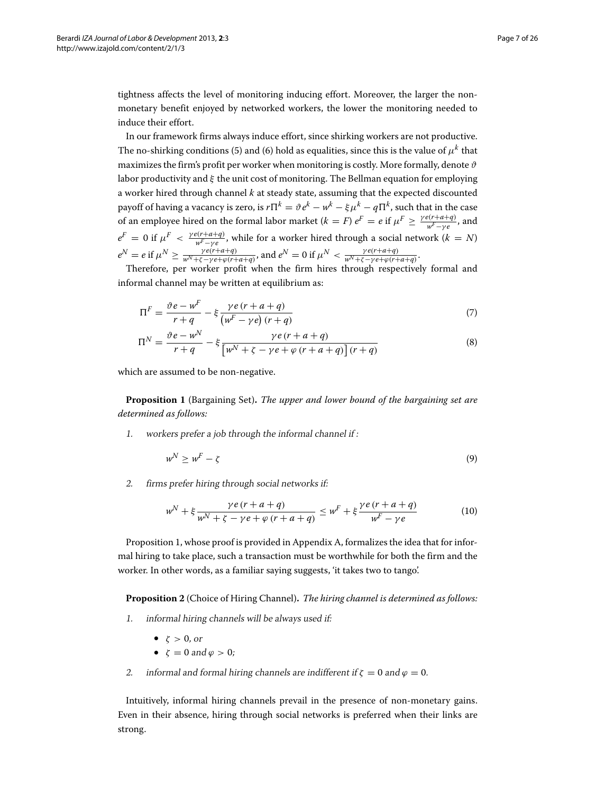tightness affects the level of monitoring inducing effort. Moreover, the larger the nonmonetary benefit enjoyed by networked workers, the lower the monitoring needed to induce their effort.

In our framework firms always induce effort, since shirking workers are not productive. The no-shirking conditions [\(5\)](#page-5-4) and [\(6\)](#page-5-5) hold as equalities, since this is the value of  $\mu^{k}$  that maximizes the firm's profit per worker when monitoring is costly. More formally, denote *ϑ* labor productivity and *ξ* the unit cost of monitoring. The Bellman equation for employing a worker hired through channel *k* at steady state, assuming that the expected discounted payoff of having a vacancy is zero, is  $r\Pi^k = \vartheta e^k - w^k - \xi \mu^k - q\Pi^k$ , such that in the case of an employee hired on the formal labor market  $(k = F) e^F = e$  if  $\mu^F \ge \frac{\gamma e(r + a + q)}{w^F - \gamma e}$ , and  $e^F = 0$  if  $\mu^F < \frac{\gamma e(r+a+q)}{w^F - \gamma e}$ , while for a worker hired through a social network (*k* = *N*)  $e^N = e$  if  $\mu^N \ge \frac{\gamma e(r+a+q)}{w^N + \zeta - \gamma e + \varphi(r+a+q)}$ , and  $e^N = 0$  if  $\mu^N < \frac{\gamma e(r+a+q)}{w^N + \zeta - \gamma e + \varphi(r+a+q)}$ .

Therefore, per worker profit when the firm hires through respectively formal and informal channel may be written at equilibrium as:

<span id="page-6-3"></span>
$$
\Pi^{F} = \frac{\vartheta e - w^{F}}{r + q} - \xi \frac{\gamma e (r + a + q)}{(w^{F} - \gamma e) (r + q)}
$$
\n
$$
\tag{7}
$$

$$
\Pi^N = \frac{\vartheta e - w^N}{r+q} - \xi \frac{\gamma e (r+a+q)}{\left[w^N + \zeta - \gamma e + \varphi (r+a+q)\right] (r+q)}\tag{8}
$$

which are assumed to be non-negative.

<span id="page-6-0"></span>**Proposition 1** (Bargaining Set)**.** *The upper and lower bound of the bargaining set are determined as follows:*

1. workers prefer <sup>a</sup> job through the informal channel if :

<span id="page-6-4"></span><span id="page-6-2"></span><span id="page-6-1"></span>
$$
w^N \ge w^F - \zeta \tag{9}
$$

2. firms prefer hiring through social networks if:

$$
w^N + \xi \frac{\gamma e (r + a + q)}{w^N + \zeta - \gamma e + \varphi (r + a + q)} \le w^F + \xi \frac{\gamma e (r + a + q)}{w^F - \gamma e} \tag{10}
$$

Proposition [1,](#page-6-0) whose proof is provided in Appendix [A,](#page-17-0) formalizes the idea that for informal hiring to take place, such a transaction must be worthwhile for both the firm and the worker. In other words, as a familiar saying suggests, 'it takes two to tango'.

**Proposition 2** (Choice of Hiring Channel)**.** *The hiring channel is determined as follows:*

- 1. informal hiring channels will be always used if:
	- $\zeta > 0$ , or
	- $\zeta = 0$  and  $\varphi > 0$ ;
- 2. informal and formal hiring channels are indifferent if  $\zeta = 0$  and  $\varphi = 0$ .

Intuitively, informal hiring channels prevail in the presence of non-monetary gains. Even in their absence, hiring through social networks is preferred when their links are strong.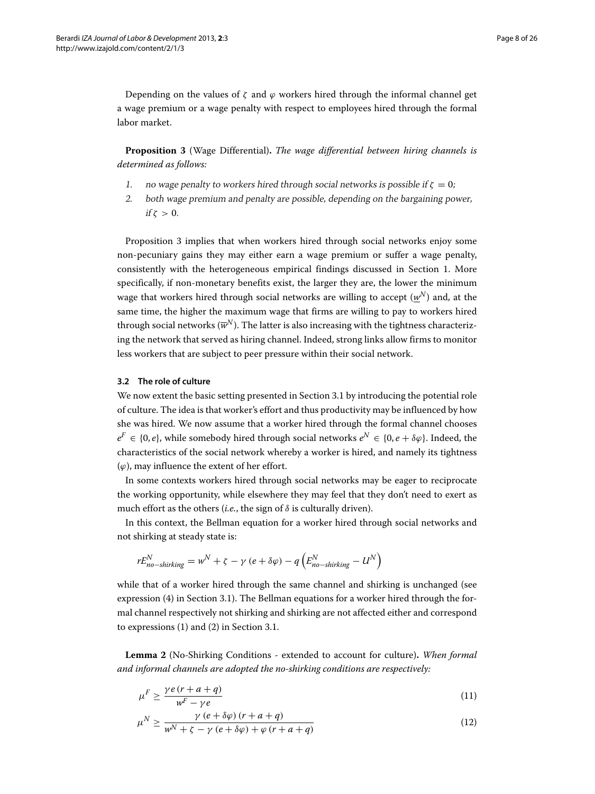Depending on the values of  $\zeta$  and  $\varphi$  workers hired through the informal channel get a wage premium or a wage penalty with respect to employees hired through the formal labor market.

<span id="page-7-1"></span>**Proposition 3** (Wage Differential)**.** *The wage differential between hiring channels is determined as follows:*

- 1. no wage penalty to workers hired through social networks is possible if  $\zeta = 0$ ;
- 2. both wage premium and penalty are possible, depending on the bargaining power, if  $\zeta > 0$ .

Proposition [3](#page-7-1) implies that when workers hired through social networks enjoy some non-pecuniary gains they may either earn a wage premium or suffer a wage penalty, consistently with the heterogeneous empirical findings discussed in Section [1.](#page-0-0) More specifically, if non-monetary benefits exist, the larger they are, the lower the minimum wage that workers hired through social networks are willing to accept  $(w^N)$  and, at the same time, the higher the maximum wage that firms are willing to pay to workers hired through social networks  $(\overline{w}^N)$ . The latter is also increasing with the tightness characterizing the network that served as hiring channel. Indeed, strong links allow firms to monitor less workers that are subject to peer pressure within their social network.

#### <span id="page-7-0"></span>**3.2 The role of culture**

We now extent the basic setting presented in Section [3.1](#page-4-1) by introducing the potential role of culture. The idea is that worker's effort and thus productivity may be influenced by how she was hired. We now assume that a worker hired through the formal channel chooses  $e^F \in \{0, e\}$ , while somebody hired through social networks  $e^N \in \{0, e + \delta \varphi\}$ . Indeed, the characteristics of the social network whereby a worker is hired, and namely its tightness (*ϕ*), may influence the extent of her effort.

In some contexts workers hired through social networks may be eager to reciprocate the working opportunity, while elsewhere they may feel that they don't need to exert as much effort as the others (*i.e.*, the sign of  $\delta$  is culturally driven).

In this context, the Bellman equation for a worker hired through social networks and not shirking at steady state is:

$$
rE_{no-shirking}^N = w^N + \zeta - \gamma (e + \delta \varphi) - q \left( E_{no-shirking}^N - U^N \right)
$$

while that of a worker hired through the same channel and shirking is unchanged (see expression [\(4\)](#page-5-2) in Section [3.1\)](#page-4-1). The Bellman equations for a worker hired through the formal channel respectively not shirking and shirking are not affected either and correspond to expressions [\(1\)](#page-5-1) and [\(2\)](#page-5-3) in Section [3.1.](#page-4-1)

**Lemma 2** (No-Shirking Conditions - extended to account for culture)**.** *When formal and informal channels are adopted the no-shirking conditions are respectively:*

$$
\mu^F \ge \frac{\gamma e \left( r + a + q \right)}{w^F - \gamma e} \tag{11}
$$

$$
\mu^N \ge \frac{\gamma (e + \delta \varphi) (r + a + q)}{w^N + \zeta - \gamma (e + \delta \varphi) + \varphi (r + a + q)}
$$
\n(12)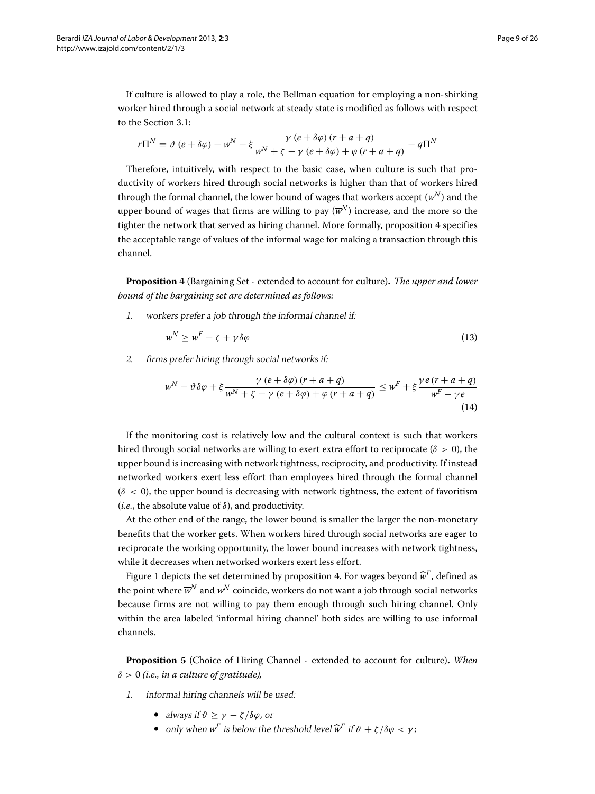If culture is allowed to play a role, the Bellman equation for employing a non-shirking worker hired through a social network at steady state is modified as follows with respect to the Section [3.1:](#page-4-1)

$$
r\Pi^{N} = \vartheta \ (e + \delta\varphi) - w^{N} - \xi \frac{\gamma (e + \delta\varphi) (r + a + q)}{w^{N} + \zeta - \gamma (e + \delta\varphi) + \varphi (r + a + q)} - q\Pi^{N}
$$

Therefore, intuitively, with respect to the basic case, when culture is such that productivity of workers hired through social networks is higher than that of workers hired through the formal channel, the lower bound of wages that workers accept  $(w^N)$  and the upper bound of wages that firms are willing to pay  $(\overline{w}^N)$  increase, and the more so the tighter the network that served as hiring channel. More formally, proposition [4](#page-8-0) specifies the acceptable range of values of the informal wage for making a transaction through this channel.

<span id="page-8-0"></span>**Proposition 4** (Bargaining Set - extended to account for culture)**.** *The upper and lower bound of the bargaining set are determined as follows:*

1. workers prefer <sup>a</sup> job through the informal channel if:

$$
w^N \ge w^F - \zeta + \gamma \delta \varphi \tag{13}
$$

2. firms prefer hiring through social networks if:

$$
w^N - \vartheta \delta \varphi + \xi \frac{\gamma (e + \delta \varphi) (r + a + q)}{w^N + \zeta - \gamma (e + \delta \varphi) + \varphi (r + a + q)} \le w^F + \xi \frac{\gamma e (r + a + q)}{w^F - \gamma e}
$$
\n(14)

If the monitoring cost is relatively low and the cultural context is such that workers hired through social networks are willing to exert extra effort to reciprocate (*δ >* 0), the upper bound is increasing with network tightness, reciprocity, and productivity. If instead networked workers exert less effort than employees hired through the formal channel  $(\delta \langle 0 \rangle$ , the upper bound is decreasing with network tightness, the extent of favoritism (*i.e.*, the absolute value of *δ*), and productivity.

At the other end of the range, the lower bound is smaller the larger the non-monetary benefits that the worker gets. When workers hired through social networks are eager to reciprocate the working opportunity, the lower bound increases with network tightness, while it decreases when networked workers exert less effort.

Figure [1](#page-9-0) depicts the set determined by proposition [4.](#page-8-0) For wages beyond  $\hat{\mathbf{w}}^F$ , defined as the point where  $\overline{w}^N$  and  $w^N$  coincide, workers do not want a job through social networks because firms are not willing to pay them enough through such hiring channel. Only within the area labeled 'informal hiring channel' both sides are willing to use informal channels.

**Proposition 5** (Choice of Hiring Channel - extended to account for culture)**.** *When δ >* 0 *(i.e., in a culture of gratitude),*

- 1. informal hiring channels will be used:
	- always if  $\vartheta \ge \gamma \zeta/\delta\varphi$ , or
	- only when  $w^F$  is below the threshold level  $\widehat{w}^F$  if  $\vartheta + \zeta/\delta\varphi < \nu$ ;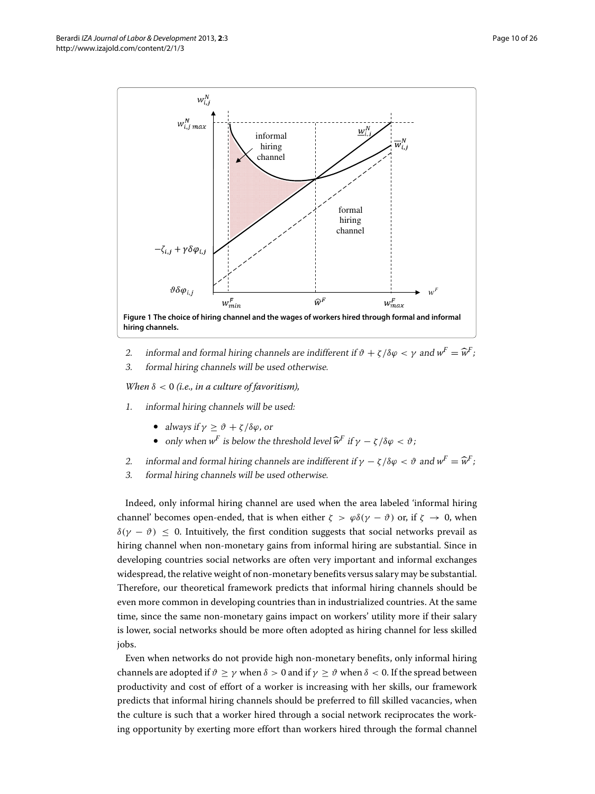

- <span id="page-9-0"></span>2. informal and formal hiring channels are indifferent if  $\vartheta + \zeta/\delta\varphi < \gamma$  and  $w^F = \widehat{w}^F$ ;<br>3. formal hiring channels will be used otherwise.
- formal hiring channels will be used otherwise.

*When δ <* 0 *(i.e., in a culture of favoritism),*

- 1. informal hiring channels will be used:
	- always if  $\gamma \ge \vartheta + \zeta/\delta\varphi$ , or
	- only when  $w^F$  is below the threshold level  $\widehat{w}^F$  if  $\gamma \zeta/\delta \varphi < \vartheta$ ;
- 2. informal and formal hiring channels are indifferent if  $\gamma \zeta/\delta\varphi < \vartheta$  and  $w^F = \widehat{w}^F$ ;<br>3. formal hiring channels will be used otherwise.
- formal hiring channels will be used otherwise.

Indeed, only informal hiring channel are used when the area labeled 'informal hiring channel' becomes open-ended, that is when either  $\zeta > \varphi \delta(\gamma - \vartheta)$  or, if  $\zeta \to 0$ , when  $\delta(\gamma - \vartheta) \leq 0$ . Intuitively, the first condition suggests that social networks prevail as hiring channel when non-monetary gains from informal hiring are substantial. Since in developing countries social networks are often very important and informal exchanges widespread, the relative weight of non-monetary benefits versus salary may be substantial. Therefore, our theoretical framework predicts that informal hiring channels should be even more common in developing countries than in industrialized countries. At the same time, since the same non-monetary gains impact on workers' utility more if their salary is lower, social networks should be more often adopted as hiring channel for less skilled jobs.

Even when networks do not provide high non-monetary benefits, only informal hiring channels are adopted if  $\vartheta \geq \gamma$  when  $\delta > 0$  and if  $\gamma \geq \vartheta$  when  $\delta < 0$ . If the spread between productivity and cost of effort of a worker is increasing with her skills, our framework predicts that informal hiring channels should be preferred to fill skilled vacancies, when the culture is such that a worker hired through a social network reciprocates the working opportunity by exerting more effort than workers hired through the formal channel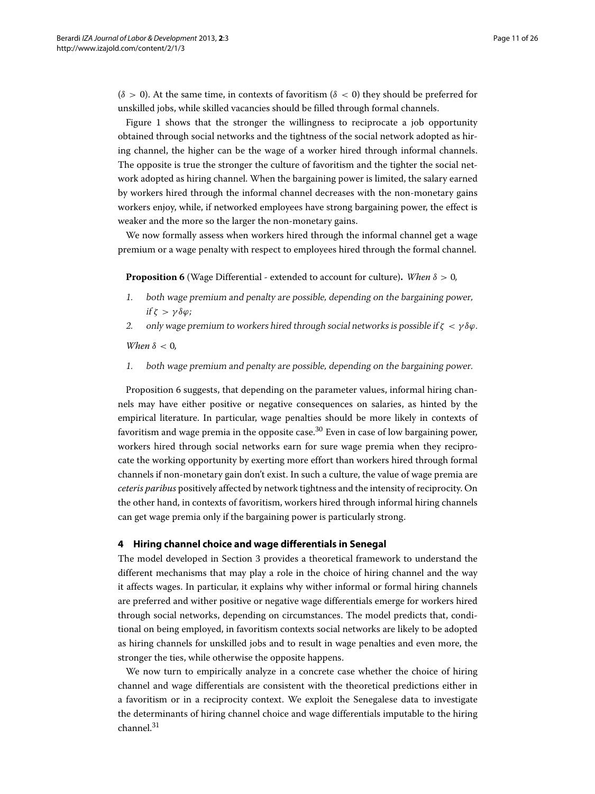(*δ >* 0). At the same time, in contexts of favoritism (*δ <* 0) they should be preferred for unskilled jobs, while skilled vacancies should be filled through formal channels.

Figure [1](#page-9-0) shows that the stronger the willingness to reciprocate a job opportunity obtained through social networks and the tightness of the social network adopted as hiring channel, the higher can be the wage of a worker hired through informal channels. The opposite is true the stronger the culture of favoritism and the tighter the social network adopted as hiring channel. When the bargaining power is limited, the salary earned by workers hired through the informal channel decreases with the non-monetary gains workers enjoy, while, if networked employees have strong bargaining power, the effect is weaker and the more so the larger the non-monetary gains.

We now formally assess when workers hired through the informal channel get a wage premium or a wage penalty with respect to employees hired through the formal channel.

<span id="page-10-1"></span>**Proposition 6** (Wage Differential - extended to account for culture)**.** *When δ >* 0*,*

- 1. both wage premium and penalty are possible, depending on the bargaining power, if *ζ > γ δϕ*;
- 2. only wage premium to workers hired through social networks is possible if *ζ < γ δϕ*.

*When δ <* 0*,*

1. both wage premium and penalty are possible, depending on the bargaining power.

Proposition [6](#page-10-1) suggests, that depending on the parameter values, informal hiring channels may have either positive or negative consequences on salaries, as hinted by the empirical literature. In particular, wage penalties should be more likely in contexts of favoritism and wage premia in the opposite case.<sup>30</sup> Even in case of low bargaining power, workers hired through social networks earn for sure wage premia when they reciprocate the working opportunity by exerting more effort than workers hired through formal channels if non-monetary gain don't exist. In such a culture, the value of wage premia are *ceteris paribus* positively affected by network tightness and the intensity of reciprocity. On the other hand, in contexts of favoritism, workers hired through informal hiring channels can get wage premia only if the bargaining power is particularly strong.

#### <span id="page-10-0"></span>**4 Hiring channel choice and wage differentials in Senegal**

The model developed in Section [3](#page-3-0) provides a theoretical framework to understand the different mechanisms that may play a role in the choice of hiring channel and the way it affects wages. In particular, it explains why wither informal or formal hiring channels are preferred and wither positive or negative wage differentials emerge for workers hired through social networks, depending on circumstances. The model predicts that, conditional on being employed, in favoritism contexts social networks are likely to be adopted as hiring channels for unskilled jobs and to result in wage penalties and even more, the stronger the ties, while otherwise the opposite happens.

We now turn to empirically analyze in a concrete case whether the choice of hiring channel and wage differentials are consistent with the theoretical predictions either in a favoritism or in a reciprocity context. We exploit the Senegalese data to investigate the determinants of hiring channel choice and wage differentials imputable to the hiring channel.31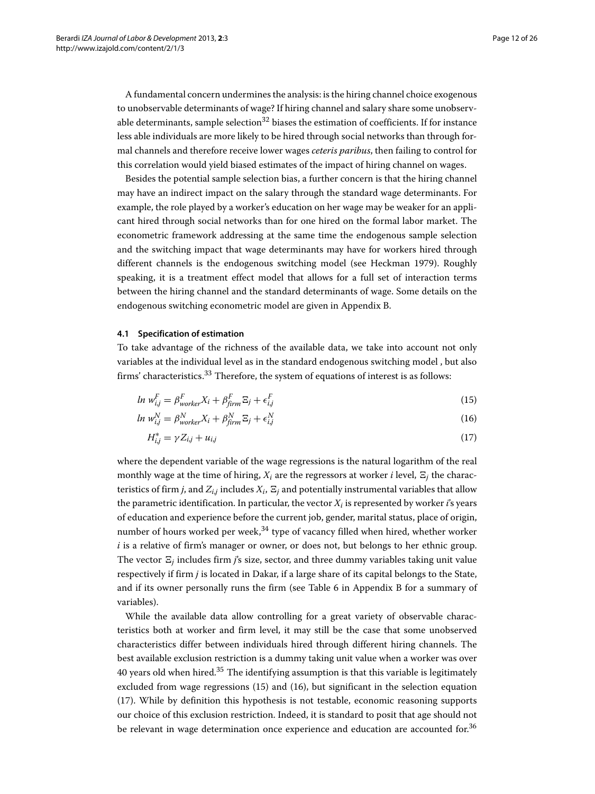A fundamental concern undermines the analysis: is the hiring channel choice exogenous to unobservable determinants of wage? If hiring channel and salary share some unobservable determinants, sample selection<sup>32</sup> biases the estimation of coefficients. If for instance less able individuals are more likely to be hired through social networks than through formal channels and therefore receive lower wages *ceteris paribus*, then failing to control for this correlation would yield biased estimates of the impact of hiring channel on wages.

Besides the potential sample selection bias, a further concern is that the hiring channel may have an indirect impact on the salary through the standard wage determinants. For example, the role played by a worker's education on her wage may be weaker for an applicant hired through social networks than for one hired on the formal labor market. The econometric framework addressing at the same time the endogenous sample selection and the switching impact that wage determinants may have for workers hired through different channels is the endogenous switching model (see Heckman [1979\)](#page-25-12). Roughly speaking, it is a treatment effect model that allows for a full set of interaction terms between the hiring channel and the standard determinants of wage. Some details on the endogenous switching econometric model are given in Appendix [B.](#page-18-0)

#### <span id="page-11-3"></span>**4.1 Specification of estimation**

To take advantage of the richness of the available data, we take into account not only variables at the individual level as in the standard endogenous switching model , but also firms' characteristics. $33$  Therefore, the system of equations of interest is as follows:

$$
ln w_{i,j}^F = \beta_{worker}^F X_i + \beta_{firm}^F \Xi_j + \epsilon_{i,j}^F
$$
\n(15)

$$
ln w_{i,j}^N = \beta_{worker}^N X_i + \beta_{firm}^N \Xi_j + \epsilon_{i,j}^N \tag{16}
$$

<span id="page-11-2"></span><span id="page-11-1"></span><span id="page-11-0"></span>
$$
H_{i,j}^* = \gamma Z_{i,j} + u_{i,j} \tag{17}
$$

where the dependent variable of the wage regressions is the natural logarithm of the real monthly wage at the time of hiring,  $X_i$  are the regressors at worker *i* level,  $\Xi_i$  the characteristics of firm *j*, and  $Z_{i,j}$  includes  $X_i$ ,  $\Xi_j$  and potentially instrumental variables that allow the parametric identification. In particular, the vector  $X_i$  is represented by worker *i*'s years of education and experience before the current job, gender, marital status, place of origin, number of hours worked per week, $34$  type of vacancy filled when hired, whether worker *i* is a relative of firm's manager or owner, or does not, but belongs to her ethnic group. The vector  $\Xi_i$  includes firm *j's* size, sector, and three dummy variables taking unit value respectively if firm *j* is located in Dakar, if a large share of its capital belongs to the State, and if its owner personally runs the firm (see Table [6](#page-20-0) in Appendix [B](#page-18-0) for a summary of variables).

While the available data allow controlling for a great variety of observable characteristics both at worker and firm level, it may still be the case that some unobserved characteristics differ between individuals hired through different hiring channels. The best available exclusion restriction is a dummy taking unit value when a worker was over 40 years old when hired.<sup>35</sup> The identifying assumption is that this variable is legitimately excluded from wage regressions [\(15\)](#page-11-0) and [\(16\)](#page-11-1), but significant in the selection equation [\(17\)](#page-11-2). While by definition this hypothesis is not testable, economic reasoning supports our choice of this exclusion restriction. Indeed, it is standard to posit that age should not be relevant in wage determination once experience and education are accounted for.<sup>36</sup>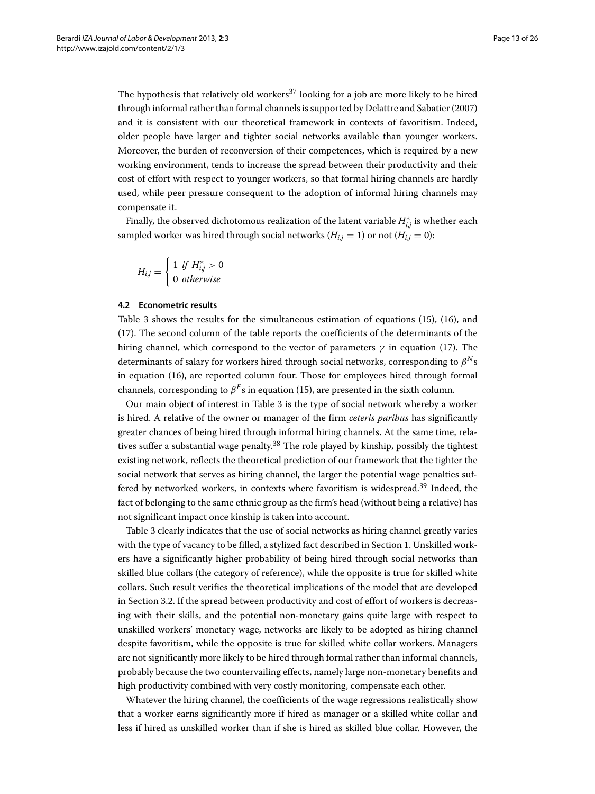The hypothesis that relatively old workers<sup>37</sup> looking for a job are more likely to be hired through informal rather than formal channels is supported by Delattre and Sabatier [\(2007\)](#page-24-2) and it is consistent with our theoretical framework in contexts of favoritism. Indeed, older people have larger and tighter social networks available than younger workers. Moreover, the burden of reconversion of their competences, which is required by a new working environment, tends to increase the spread between their productivity and their cost of effort with respect to younger workers, so that formal hiring channels are hardly used, while peer pressure consequent to the adoption of informal hiring channels may compensate it.

Finally, the observed dichotomous realization of the latent variable *H*∗ *<sup>i</sup>*,*<sup>j</sup>* is whether each sampled worker was hired through social networks ( $H_{i,j} = 1$ ) or not ( $H_{i,j} = 0$ ):

$$
H_{i,j} = \begin{cases} 1 & \text{if } H^*_{i,j} > 0 \\ 0 & \text{otherwise} \end{cases}
$$

#### **4.2 Econometric results**

Table [3](#page-13-0) shows the results for the simultaneous estimation of equations [\(15\)](#page-11-0), [\(16\)](#page-11-1), and [\(17\)](#page-11-2). The second column of the table reports the coefficients of the determinants of the hiring channel, which correspond to the vector of parameters *γ* in equation [\(17\)](#page-11-2). The determinants of salary for workers hired through social networks, corresponding to *β<sup>N</sup>* s in equation [\(16\)](#page-11-1), are reported column four. Those for employees hired through formal channels, corresponding to  $\beta^F$ s in equation [\(15\)](#page-11-0), are presented in the sixth column.

Our main object of interest in Table [3](#page-13-0) is the type of social network whereby a worker is hired. A relative of the owner or manager of the firm *ceteris paribus* has significantly greater chances of being hired through informal hiring channels. At the same time, relatives suffer a substantial wage penalty.<sup>38</sup> The role played by kinship, possibly the tightest existing network, reflects the theoretical prediction of our framework that the tighter the social network that serves as hiring channel, the larger the potential wage penalties suffered by networked workers, in contexts where favoritism is widespread.<sup>39</sup> Indeed, the fact of belonging to the same ethnic group as the firm's head (without being a relative) has not significant impact once kinship is taken into account.

Table [3](#page-13-0) clearly indicates that the use of social networks as hiring channel greatly varies with the type of vacancy to be filled, a stylized fact described in Section [1.](#page-0-0) Unskilled workers have a significantly higher probability of being hired through social networks than skilled blue collars (the category of reference), while the opposite is true for skilled white collars. Such result verifies the theoretical implications of the model that are developed in Section [3.2.](#page-7-0) If the spread between productivity and cost of effort of workers is decreasing with their skills, and the potential non-monetary gains quite large with respect to unskilled workers' monetary wage, networks are likely to be adopted as hiring channel despite favoritism, while the opposite is true for skilled white collar workers. Managers are not significantly more likely to be hired through formal rather than informal channels, probably because the two countervailing effects, namely large non-monetary benefits and high productivity combined with very costly monitoring, compensate each other.

Whatever the hiring channel, the coefficients of the wage regressions realistically show that a worker earns significantly more if hired as manager or a skilled white collar and less if hired as unskilled worker than if she is hired as skilled blue collar. However, the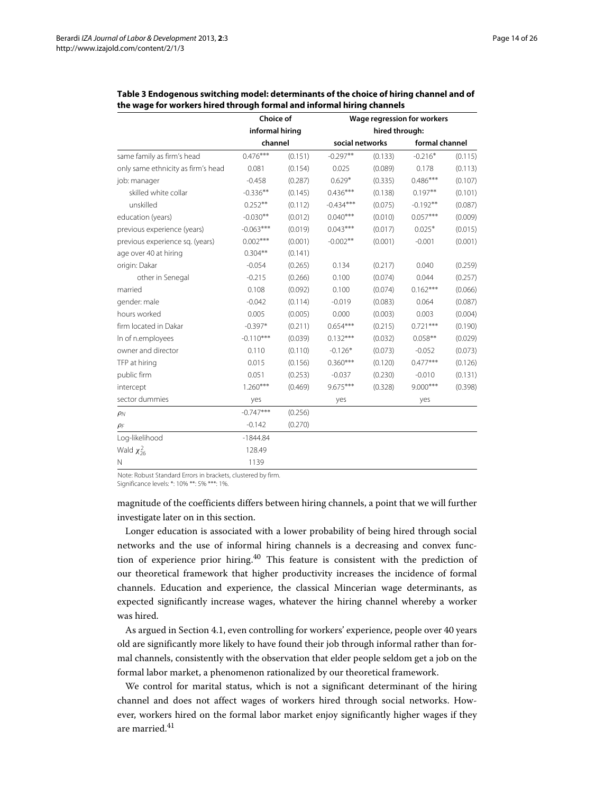|                                    | Choice of       |         |                 |                | Wage regression for workers |         |
|------------------------------------|-----------------|---------|-----------------|----------------|-----------------------------|---------|
|                                    | informal hiring |         |                 | hired through: |                             |         |
|                                    | channel         |         | social networks |                | formal channel              |         |
| same family as firm's head         | $0.476***$      | (0.151) | $-0.297**$      | (0.133)        | $-0.216*$                   | (0.115) |
| only same ethnicity as firm's head | 0.081           | (0.154) | 0.025           | (0.089)        | 0.178                       | (0.113) |
| job: manager                       | $-0.458$        | (0.287) | $0.629*$        | (0.335)        | $0.486***$                  | (0.107) |
| skilled white collar               | $-0.336**$      | (0.145) | $0.436***$      | (0.138)        | $0.197**$                   | (0.101) |
| unskilled                          | $0.252**$       | (0.112) | $-0.434***$     | (0.075)        | $-0.192**$                  | (0.087) |
| education (years)                  | $-0.030**$      | (0.012) | $0.040***$      | (0.010)        | $0.057***$                  | (0.009) |
| previous experience (years)        | $-0.063***$     | (0.019) | $0.043***$      | (0.017)        | $0.025*$                    | (0.015) |
| previous experience sq. (years)    | $0.002***$      | (0.001) | $-0.002**$      | (0.001)        | $-0.001$                    | (0.001) |
| age over 40 at hiring              | $0.304**$       | (0.141) |                 |                |                             |         |
| origin: Dakar                      | $-0.054$        | (0.265) | 0.134           | (0.217)        | 0.040                       | (0.259) |
| other in Senegal                   | $-0.215$        | (0.266) | 0.100           | (0.074)        | 0.044                       | (0.257) |
| married                            | 0.108           | (0.092) | 0.100           | (0.074)        | $0.162***$                  | (0.066) |
| gender: male                       | $-0.042$        | (0.114) | $-0.019$        | (0.083)        | 0.064                       | (0.087) |
| hours worked                       | 0.005           | (0.005) | 0.000           | (0.003)        | 0.003                       | (0.004) |
| firm located in Dakar              | $-0.397*$       | (0.211) | $0.654***$      | (0.215)        | $0.721***$                  | (0.190) |
| In of n.employees                  | $-0.110***$     | (0.039) | $0.132***$      | (0.032)        | $0.058**$                   | (0.029) |
| owner and director                 | 0.110           | (0.110) | $-0.126*$       | (0.073)        | $-0.052$                    | (0.073) |
| TFP at hiring                      | 0.015           | (0.156) | $0.360***$      | (0.120)        | $0.477***$                  | (0.126) |
| public firm                        | 0.051           | (0.253) | $-0.037$        | (0.230)        | $-0.010$                    | (0.131) |
| intercept                          | $1.260***$      | (0.469) | 9.675***        | (0.328)        | $9.000***$                  | (0.398) |
| sector dummies                     | yes             |         | yes             |                | yes                         |         |
| $\rho_N$                           | $-0.747***$     | (0.256) |                 |                |                             |         |
| $\rho_F$                           | $-0.142$        | (0.270) |                 |                |                             |         |
| Log-likelihood                     | $-1844.84$      |         |                 |                |                             |         |
| Wald $\chi^2_{26}$                 | 128.49          |         |                 |                |                             |         |
| N                                  | 1139            |         |                 |                |                             |         |

<span id="page-13-0"></span>**Table 3 Endogenous switching model: determinants of the choice of hiring channel and of the wage for workers hired through formal and informal hiring channels**

Note: Robust Standard Errors in brackets, clustered by firm.

Significance levels: \*: 10% \*\*: 5% \*\*\*: 1%.

magnitude of the coefficients differs between hiring channels, a point that we will further investigate later on in this section.

Longer education is associated with a lower probability of being hired through social networks and the use of informal hiring channels is a decreasing and convex function of experience prior hiring.<sup>40</sup> This feature is consistent with the prediction of our theoretical framework that higher productivity increases the incidence of formal channels. Education and experience, the classical Mincerian wage determinants, as expected significantly increase wages, whatever the hiring channel whereby a worker was hired.

As argued in Section [4.1,](#page-11-3) even controlling for workers' experience, people over 40 years old are significantly more likely to have found their job through informal rather than formal channels, consistently with the observation that elder people seldom get a job on the formal labor market, a phenomenon rationalized by our theoretical framework.

We control for marital status, which is not a significant determinant of the hiring channel and does not affect wages of workers hired through social networks. However, workers hired on the formal labor market enjoy significantly higher wages if they are married.<sup>41</sup>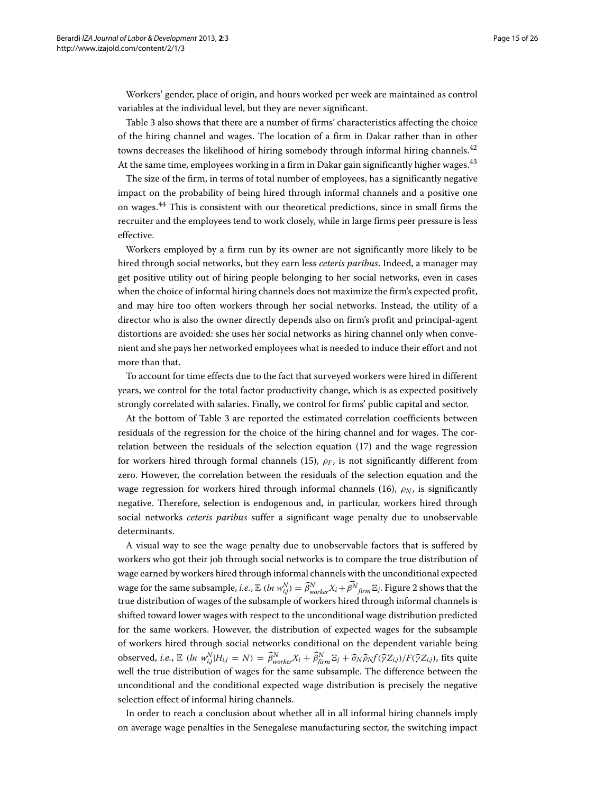Workers' gender, place of origin, and hours worked per week are maintained as control variables at the individual level, but they are never significant.

Table [3](#page-13-0) also shows that there are a number of firms' characteristics affecting the choice of the hiring channel and wages. The location of a firm in Dakar rather than in other towns decreases the likelihood of hiring somebody through informal hiring channels.<sup>42</sup> At the same time, employees working in a firm in Dakar gain significantly higher wages.<sup>43</sup>

The size of the firm, in terms of total number of employees, has a significantly negative impact on the probability of being hired through informal channels and a positive one on wages.<sup>44</sup> This is consistent with our theoretical predictions, since in small firms the recruiter and the employees tend to work closely, while in large firms peer pressure is less effective.

Workers employed by a firm run by its owner are not significantly more likely to be hired through social networks, but they earn less *ceteris paribus*. Indeed, a manager may get positive utility out of hiring people belonging to her social networks, even in cases when the choice of informal hiring channels does not maximize the firm's expected profit, and may hire too often workers through her social networks. Instead, the utility of a director who is also the owner directly depends also on firm's profit and principal-agent distortions are avoided: she uses her social networks as hiring channel only when convenient and she pays her networked employees what is needed to induce their effort and not more than that.

To account for time effects due to the fact that surveyed workers were hired in different years, we control for the total factor productivity change, which is as expected positively strongly correlated with salaries. Finally, we control for firms' public capital and sector.

At the bottom of Table [3](#page-13-0) are reported the estimated correlation coefficients between residuals of the regression for the choice of the hiring channel and for wages. The correlation between the residuals of the selection equation [\(17\)](#page-11-2) and the wage regression for workers hired through formal channels [\(15\)](#page-11-0), *ρ<sup>F</sup>* , is not significantly different from zero. However, the correlation between the residuals of the selection equation and the wage regression for workers hired through informal channels [\(16\)](#page-11-1),  $\rho_N$ , is significantly negative. Therefore, selection is endogenous and, in particular, workers hired through social networks *ceteris paribus* suffer a significant wage penalty due to unobservable determinants.

A visual way to see the wage penalty due to unobservable factors that is suffered by workers who got their job through social networks is to compare the true distribution of wage earned by workers hired through informal channels with the unconditional expected wage for the same subsample, *i.e.*,  $\mathbb{E}$  (*ln w*<sup>N</sup><sub>i,j</sub>) =  $\widehat{\beta}_{worker}^N X_i + \widehat{\beta}^N_{firm} \Xi_j$ . Figure [2](#page-15-0) shows that the true distribution of wages of the subsample of workers hired through informal channels is shifted toward lower wages with respect to the unconditional wage distribution predicted for the same workers. However, the distribution of expected wages for the subsample of workers hired through social networks conditional on the dependent variable being observed, *i.e.*,  $\mathbb E$  (*ln*  $w_{i,j}^N|H_{i,j} = N$ ) =  $\widehat{\beta}_{worker}^N X_i + \widehat{\beta}_{firm}^N \Xi_j + \widehat{\sigma}_N \widehat{\rho}_N f(\widehat{\gamma} Z_{i,j})/F(\widehat{\gamma} Z_{i,j})$ , fits quite well the true distribution of wages for the same subsample. The difference between the unconditional and the conditional expected wage distribution is precisely the negative selection effect of informal hiring channels.

In order to reach a conclusion about whether all in all informal hiring channels imply on average wage penalties in the Senegalese manufacturing sector, the switching impact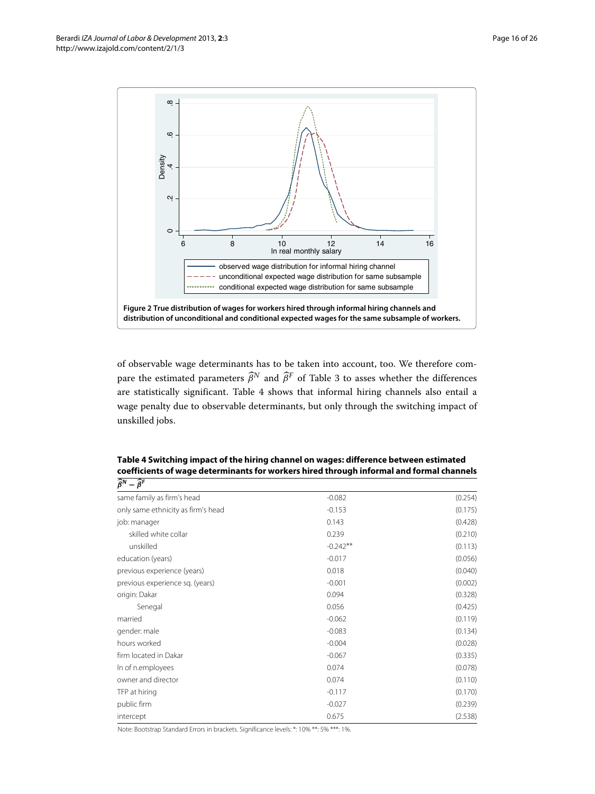

<span id="page-15-0"></span>of observable wage determinants has to be taken into account, too. We therefore compare the estimated parameters  $\widehat{\beta}^N$  and  $\widehat{\beta}^F$  of Table [3](#page-13-0) to asses whether the differences are statistically significant. Table [4](#page-15-1) shows that informal hiring channels also entail a wage penalty due to observable determinants, but only through the switching impact of unskilled jobs.

| $\widehat{\beta}^N - \widehat{\beta}^F$ |            |         |
|-----------------------------------------|------------|---------|
| same family as firm's head              | $-0.082$   | (0.254) |
| only same ethnicity as firm's head      | $-0.153$   | (0.175) |
| job: manager                            | 0.143      | (0.428) |
| skilled white collar                    | 0.239      | (0.210) |
| unskilled                               | $-0.242**$ | (0.113) |
| education (years)                       | $-0.017$   | (0.056) |
| previous experience (years)             | 0.018      | (0.040) |
| previous experience sq. (years)         | $-0.001$   | (0.002) |
| origin: Dakar                           | 0.094      | (0.328) |
| Senegal                                 | 0.056      | (0.425) |
| married                                 | $-0.062$   | (0.119) |
| gender: male                            | $-0.083$   | (0.134) |
| hours worked                            | $-0.004$   | (0.028) |
| firm located in Dakar                   | $-0.067$   | (0.335) |
| In of n.employees                       | 0.074      | (0.078) |
| owner and director                      | 0.074      | (0.110) |
| TFP at hiring                           | $-0.117$   | (0.170) |
| public firm                             | $-0.027$   | (0.239) |
| intercept                               | 0.675      | (2.538) |

<span id="page-15-1"></span>**Table 4 Switching impact of the hiring channel on wages: difference between estimated -coefficients of wage determinants for workers hired through informal and formal channels**

Note: Bootstrap Standard Errors in brackets. Significance levels: \*: 10% \*\*: 5% \*\*\*: 1%.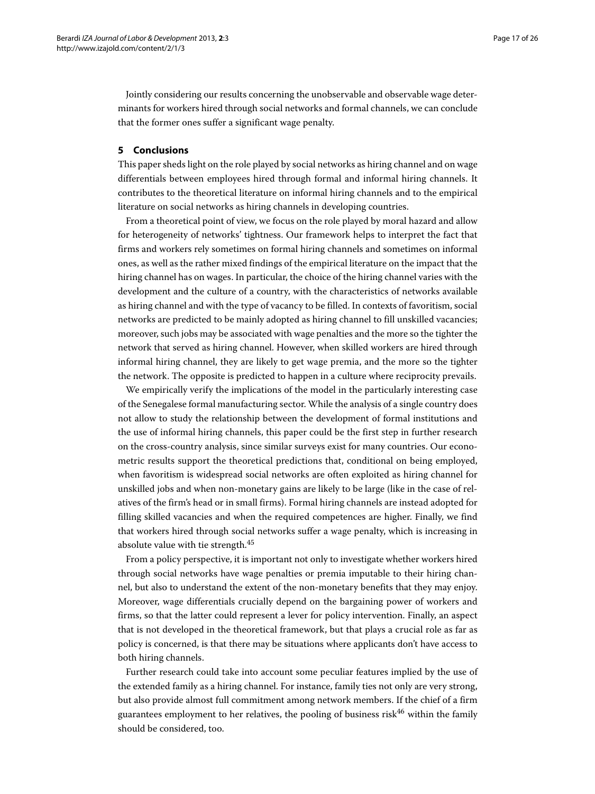Jointly considering our results concerning the unobservable and observable wage determinants for workers hired through social networks and formal channels, we can conclude that the former ones suffer a significant wage penalty.

#### <span id="page-16-0"></span>**5 Conclusions**

This paper sheds light on the role played by social networks as hiring channel and on wage differentials between employees hired through formal and informal hiring channels. It contributes to the theoretical literature on informal hiring channels and to the empirical literature on social networks as hiring channels in developing countries.

From a theoretical point of view, we focus on the role played by moral hazard and allow for heterogeneity of networks' tightness. Our framework helps to interpret the fact that firms and workers rely sometimes on formal hiring channels and sometimes on informal ones, as well as the rather mixed findings of the empirical literature on the impact that the hiring channel has on wages. In particular, the choice of the hiring channel varies with the development and the culture of a country, with the characteristics of networks available as hiring channel and with the type of vacancy to be filled. In contexts of favoritism, social networks are predicted to be mainly adopted as hiring channel to fill unskilled vacancies; moreover, such jobs may be associated with wage penalties and the more so the tighter the network that served as hiring channel. However, when skilled workers are hired through informal hiring channel, they are likely to get wage premia, and the more so the tighter the network. The opposite is predicted to happen in a culture where reciprocity prevails.

We empirically verify the implications of the model in the particularly interesting case of the Senegalese formal manufacturing sector. While the analysis of a single country does not allow to study the relationship between the development of formal institutions and the use of informal hiring channels, this paper could be the first step in further research on the cross-country analysis, since similar surveys exist for many countries. Our econometric results support the theoretical predictions that, conditional on being employed, when favoritism is widespread social networks are often exploited as hiring channel for unskilled jobs and when non-monetary gains are likely to be large (like in the case of relatives of the firm's head or in small firms). Formal hiring channels are instead adopted for filling skilled vacancies and when the required competences are higher. Finally, we find that workers hired through social networks suffer a wage penalty, which is increasing in absolute value with tie strength.<sup>45</sup>

From a policy perspective, it is important not only to investigate whether workers hired through social networks have wage penalties or premia imputable to their hiring channel, but also to understand the extent of the non-monetary benefits that they may enjoy. Moreover, wage differentials crucially depend on the bargaining power of workers and firms, so that the latter could represent a lever for policy intervention. Finally, an aspect that is not developed in the theoretical framework, but that plays a crucial role as far as policy is concerned, is that there may be situations where applicants don't have access to both hiring channels.

Further research could take into account some peculiar features implied by the use of the extended family as a hiring channel. For instance, family ties not only are very strong, but also provide almost full commitment among network members. If the chief of a firm guarantees employment to her relatives, the pooling of business risk <sup>46</sup> within the family should be considered, too.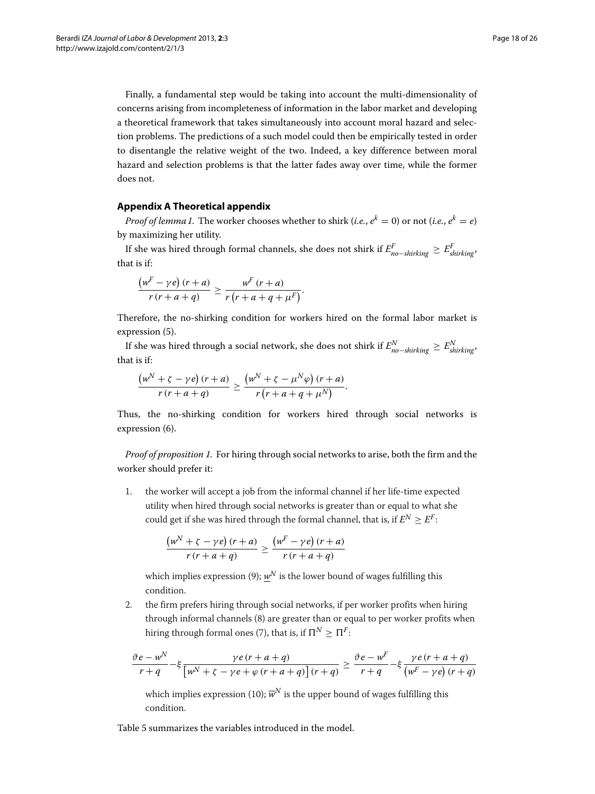Finally, a fundamental step would be taking into account the multi-dimensionality of concerns arising from incompleteness of information in the labor market and developing a theoretical framework that takes simultaneously into account moral hazard and selection problems. The predictions of a such model could then be empirically tested in order to disentangle the relative weight of the two. Indeed, a key difference between moral hazard and selection problems is that the latter fades away over time, while the former does not.

#### <span id="page-17-0"></span>**Appendix A Theoretical appendix**

*Proof of lemma 1.* The worker chooses whether to shirk (*i.e.*,  $e^{k} = 0$ ) or not (*i.e.*,  $e^{k} = e$ ) by maximizing her utility.

If she was hired through formal channels, she does not shirk if  $E_{no-shirling}^F \ge E_{shirking}^F$ , that is if:

$$
\frac{\left(w^F-\gamma e\right)(r+a)}{r(r+a+q)}\geq \frac{w^F(r+a)}{r(r+a+q+\mu^F)}.
$$

Therefore, the no-shirking condition for workers hired on the formal labor market is expression [\(5\)](#page-5-4).

If she was hired through a social network, she does not shirk if  $E^N_{no-shirling} \geq E^N_{shirling}$ that is if:

$$
\frac{(w^N+\zeta-\gamma e)(r+a)}{r(r+a+q)}\geq \frac{(w^N+\zeta-\mu^N\varphi)(r+a)}{r(r+a+q+\mu^N)}.
$$

Thus, the no-shirking condition for workers hired through social networks is expression [\(6\)](#page-5-5).

*Proof of proposition 1.* For hiring through social networks to arise, both the firm and the worker should prefer it:

1. the worker will accept a job from the informal channel if her life-time expected utility when hired through social networks is greater than or equal to what she could get if she was hired through the formal channel, that is, if  $E^N > E^F$ :

$$
\frac{(w^N + \zeta - \gamma e)(r+a)}{r(r+a+q)} \ge \frac{(w^F - \gamma e)(r+a)}{r(r+a+q)}
$$

which implies expression [\(9\)](#page-6-1);  $w^N$  is the lower bound of wages fulfilling this condition.

2. the firm prefers hiring through social networks, if per worker profits when hiring through informal channels [\(8\)](#page-6-2) are greater than or equal to per worker profits when hiring through formal ones [\(7\)](#page-6-3), that is, if  $\Pi^N > \Pi^F$ :

$$
\frac{\vartheta e - w^N}{r+q} - \xi \frac{\gamma e (r+a+q)}{\left[w^N + \zeta - \gamma e + \varphi (r+a+q)\right] (r+q)} \ge \frac{\vartheta e - w^F}{r+q} - \xi \frac{\gamma e (r+a+q)}{\left(w^F - \gamma e\right) (r+q)}
$$

which implies expression [\(10\)](#page-6-4);  $\overline{w}^N$  is the upper bound of wages fulfilling this condition.

Table [5](#page-18-1) summarizes the variables introduced in the model.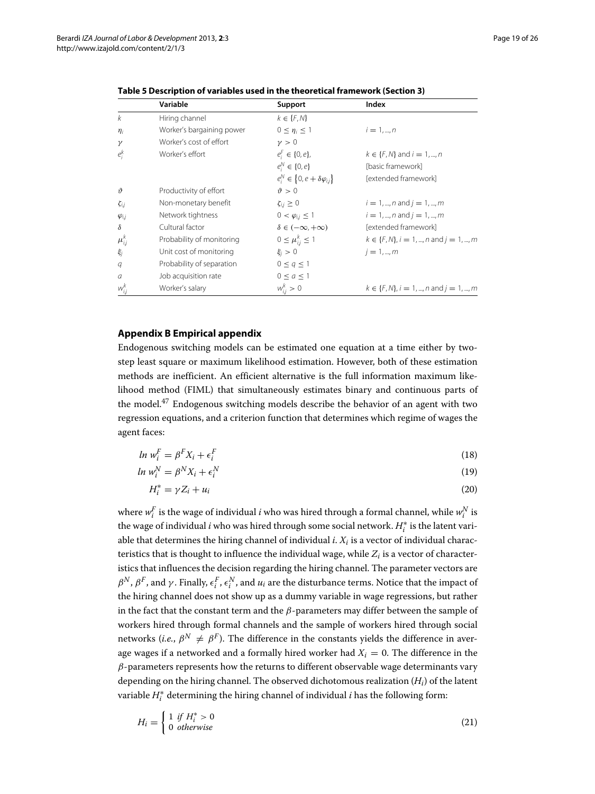|                 | Variable                  | Support                                      | Index                                         |
|-----------------|---------------------------|----------------------------------------------|-----------------------------------------------|
| k               | Hiring channel            | $k \in \{F, N\}$                             |                                               |
| $\eta_i$        | Worker's bargaining power | $0 \leq \eta_i \leq 1$                       | $i = 1, , n$                                  |
| γ               | Worker's cost of effort   | $\nu > 0$                                    |                                               |
| $e_i^{k}$       | Worker's effort           | $e_i^F \in \{0, e\},\$                       | $k \in \{F, N\}$ and $i = 1, , n$             |
|                 |                           | $e_i^N \in \{0, e\}$                         | [basic framework]                             |
|                 |                           | $e_i^N \in \{0, e + \delta \varphi_{i,j}\}\$ | [extended framework]                          |
| $\eta$          | Productivity of effort    | $\vartheta > 0$                              |                                               |
| $\zeta_{i,j}$   | Non-monetary benefit      | $\zeta_{i,j} \geq 0$                         | $i = 1, , n$ and $j = 1, , m$                 |
| $\varphi_{i,j}$ | Network tightness         | $0 < \varphi_{i,j} \leq 1$                   | $i = 1, , n$ and $j = 1, , m$                 |
| δ               | Cultural factor           | $\delta \in (-\infty, +\infty)$              | [extended framework]                          |
| $\mu_{i,j}^k$   | Probability of monitoring | $0 \le \mu_{ij}^k \le 1$                     | $k \in \{F, N\}, i = 1, , n$ and $j = 1, , m$ |
| $\xi_j$         | Unit cost of monitoring   | $\xi_i > 0$                                  | $i = 1, , m$                                  |
| q               | Probability of separation | $0 \leq q \leq 1$                            |                                               |
| a               | Job acquisition rate      | $0 \le a \le 1$                              |                                               |
| $W_i^K$         | Worker's salary           | $w_{ij}^k > 0$                               | $k \in \{F, N\}, i = 1, , n$ and $j = 1, , m$ |

<span id="page-18-1"></span>**Table 5 Description of variables used in the theoretical framework (Section [3\)](#page-3-0)**

#### <span id="page-18-0"></span>**Appendix B Empirical appendix**

Endogenous switching models can be estimated one equation at a time either by twostep least square or maximum likelihood estimation. However, both of these estimation methods are inefficient. An efficient alternative is the full information maximum likelihood method (FIML) that simultaneously estimates binary and continuous parts of the model.47 Endogenous switching models describe the behavior of an agent with two regression equations, and a criterion function that determines which regime of wages the agent faces:

$$
ln w_i^F = \beta^F X_i + \epsilon_i^F \tag{18}
$$

$$
ln w_i^N = \beta^N X_i + \epsilon_i^N \tag{19}
$$

<span id="page-18-4"></span><span id="page-18-3"></span><span id="page-18-2"></span>
$$
H_i^* = \gamma Z_i + u_i \tag{20}
$$

where  $w_i^F$  is the wage of individual  $i$  who was hired through a formal channel, while  $w_i^N$  is the wage of individual *i* who was hired through some social network.  $H^*_i$  is the latent variable that determines the hiring channel of individual  $i$ .  $X_i$  is a vector of individual characteristics that is thought to influence the individual wage, while  $Z_i$  is a vector of characteristics that influences the decision regarding the hiring channel. The parameter vectors are  $\beta^N$ ,  $\beta^F$ , and  $\gamma$ . Finally,  $\epsilon^F_i$ ,  $\epsilon^N_i$ , and  $u_i$  are the disturbance terms. Notice that the impact of the hiring channel does not show up as a dummy variable in wage regressions, but rather in the fact that the constant term and the *β*-parameters may differ between the sample of workers hired through formal channels and the sample of workers hired through social networks (*i.e.*,  $\beta^N \neq \beta^F$ ). The difference in the constants yields the difference in average wages if a networked and a formally hired worker had  $X_i = 0$ . The difference in the  $\beta$ -parameters represents how the returns to different observable wage determinants vary depending on the hiring channel. The observed dichotomous realization (*Hi*) of the latent variable *H*∗ *<sup>i</sup>* determining the hiring channel of individual *i* has the following form:

$$
H_i = \begin{cases} 1 & \text{if } H_i^* > 0 \\ 0 & \text{otherwise} \end{cases} \tag{21}
$$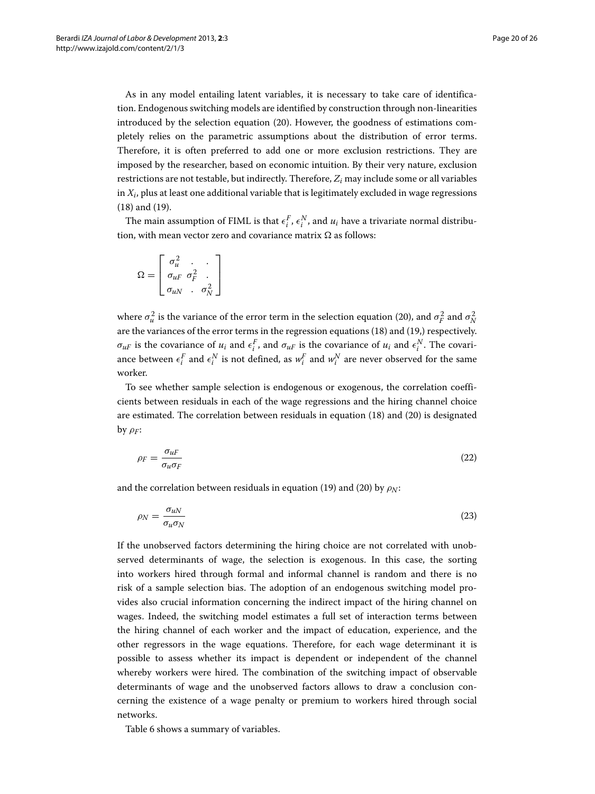As in any model entailing latent variables, it is necessary to take care of identification. Endogenous switching models are identified by construction through non-linearities introduced by the selection equation [\(20\)](#page-18-2). However, the goodness of estimations completely relies on the parametric assumptions about the distribution of error terms. Therefore, it is often preferred to add one or more exclusion restrictions. They are imposed by the researcher, based on economic intuition. By their very nature, exclusion restrictions are not testable, but indirectly. Therefore, *Zi* may include some or all variables in *Xi*, plus at least one additional variable that is legitimately excluded in wage regressions [\(18\)](#page-18-3) and [\(19\)](#page-18-4).

The main assumption of FIML is that  $\epsilon_i^F$ ,  $\epsilon_i^N$ , and  $u_i$  have a trivariate normal distribution, with mean vector zero and covariance matrix  $\Omega$  as follows:

$$
\Omega = \begin{bmatrix} \sigma_u^2 & \cdot & \cdot \\ \sigma_{uF} & \sigma_F^2 & \cdot \\ \sigma_{uN} & \cdot & \sigma_N^2 \end{bmatrix}
$$

where  $\sigma_u^2$  is the variance of the error term in the selection equation [\(20\)](#page-18-2), and  $\sigma_F^2$  and  $\sigma_N^2$ are the variances of the error terms in the regression equations [\(18\)](#page-18-3) and [\(19,](#page-18-4)) respectively.  $\sigma_{uF}$  is the covariance of  $u_i$  and  $\epsilon_i^F$ , and  $\sigma_{uF}$  is the covariance of  $u_i$  and  $\epsilon_i^N$ . The covariance between  $\epsilon_i^F$  and  $\epsilon_i^N$  is not defined, as  $w_i^F$  and  $w_i^N$  are never observed for the same worker.

To see whether sample selection is endogenous or exogenous, the correlation coefficients between residuals in each of the wage regressions and the hiring channel choice are estimated. The correlation between residuals in equation [\(18\)](#page-18-3) and [\(20\)](#page-18-2) is designated by  $\rho_F$ :

$$
\rho_F = \frac{\sigma_{uF}}{\sigma_u \sigma_F} \tag{22}
$$

and the correlation between residuals in equation [\(19\)](#page-18-4) and [\(20\)](#page-18-2) by  $\rho_N$ :

$$
\rho_N = \frac{\sigma_{uN}}{\sigma_u \sigma_N} \tag{23}
$$

If the unobserved factors determining the hiring choice are not correlated with unobserved determinants of wage, the selection is exogenous. In this case, the sorting into workers hired through formal and informal channel is random and there is no risk of a sample selection bias. The adoption of an endogenous switching model provides also crucial information concerning the indirect impact of the hiring channel on wages. Indeed, the switching model estimates a full set of interaction terms between the hiring channel of each worker and the impact of education, experience, and the other regressors in the wage equations. Therefore, for each wage determinant it is possible to assess whether its impact is dependent or independent of the channel whereby workers were hired. The combination of the switching impact of observable determinants of wage and the unobserved factors allows to draw a conclusion concerning the existence of a wage penalty or premium to workers hired through social networks.

Table [6](#page-20-0) shows a summary of variables.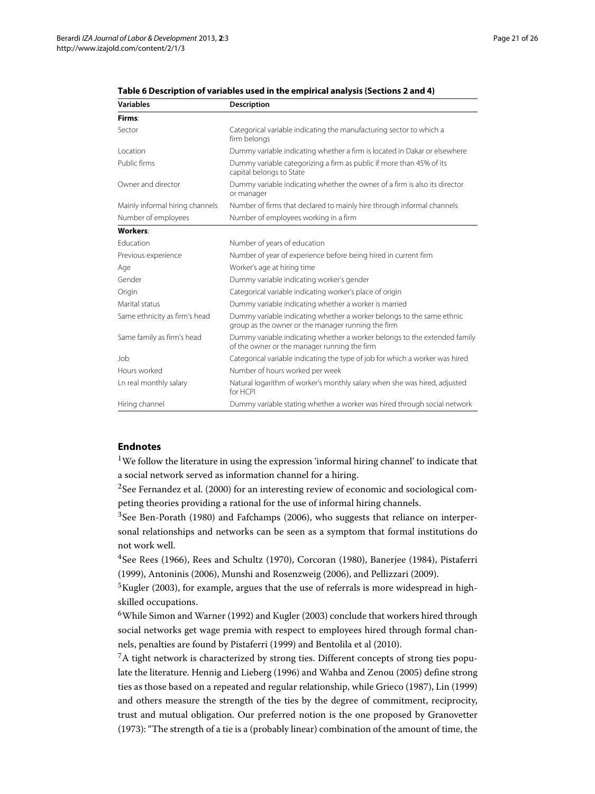| <b>Variables</b>                | <b>Description</b>                                                                                                          |  |  |
|---------------------------------|-----------------------------------------------------------------------------------------------------------------------------|--|--|
| Firms:                          |                                                                                                                             |  |  |
| Sector                          | Categorical variable indicating the manufacturing sector to which a<br>firm belongs                                         |  |  |
| Location                        | Dummy variable indicating whether a firm is located in Dakar or elsewhere                                                   |  |  |
| Public firms                    | Dummy variable categorizing a firm as public if more than 45% of its<br>capital belongs to State                            |  |  |
| Owner and director              | Dummy variable indicating whether the owner of a firm is also its director<br>or manager                                    |  |  |
| Mainly informal hiring channels | Number of firms that declared to mainly hire through informal channels                                                      |  |  |
| Number of employees             | Number of employees working in a firm                                                                                       |  |  |
| <b>Workers</b>                  |                                                                                                                             |  |  |
| <b>Education</b>                | Number of years of education                                                                                                |  |  |
| Previous experience             | Number of year of experience before being hired in current firm                                                             |  |  |
| Age                             | Worker's age at hiring time                                                                                                 |  |  |
| Gender                          | Dummy variable indicating worker's gender                                                                                   |  |  |
| Origin                          | Categorical variable indicating worker's place of origin                                                                    |  |  |
| Marital status                  | Dummy variable indicating whether a worker is married                                                                       |  |  |
| Same ethnicity as firm's head   | Dummy variable indicating whether a worker belongs to the same ethnic<br>group as the owner or the manager running the firm |  |  |
| Same family as firm's head      | Dummy variable indicating whether a worker belongs to the extended family<br>of the owner or the manager running the firm   |  |  |
| Job                             | Categorical variable indicating the type of job for which a worker was hired                                                |  |  |
| Hours worked                    | Number of hours worked per week                                                                                             |  |  |
| Ln real monthly salary          | Natural logarithm of worker's monthly salary when she was hired, adjusted<br>for HCPI                                       |  |  |
| Hiring channel                  | Dummy variable stating whether a worker was hired through social network                                                    |  |  |

<span id="page-20-0"></span>**Table 6 Description of variables used in the empirical analysis (Sections [2](#page-2-0) and [4\)](#page-10-0)**

#### **Endnotes**

<sup>1</sup>We follow the literature in using the expression 'informal hiring channel' to indicate that a social network served as information channel for a hiring.

<sup>2</sup>See Fernandez et al. [\(2000\)](#page-25-13) for an interesting review of economic and sociological competing theories providing a rational for the use of informal hiring channels.

 $3$ See Ben-Porath [\(1980\)](#page-24-3) and Fafchamps [\(2006\)](#page-25-14), who suggests that reliance on interpersonal relationships and networks can be seen as a symptom that formal institutions do not work well.

<sup>4</sup>See Rees [\(1966\)](#page-25-1), Rees and Schultz [\(1970\)](#page-25-15), Corcoran [\(1980\)](#page-24-0), Banerjee [\(1984\)](#page-24-4), Pistaferri [\(1999\)](#page-25-16), Antoninis [\(2006\)](#page-24-5), Munshi and Rosenzweig [\(2006\)](#page-25-17), and Pellizzari [\(2009\)](#page-25-7).

 $<sup>5</sup>$ Kugler [\(2003\)](#page-25-18), for example, argues that the use of referrals is more widespread in high-</sup> skilled occupations.

6While Simon and Warner [\(1992\)](#page-25-6) and Kugler [\(2003\)](#page-25-18) conclude that workers hired through social networks get wage premia with respect to employees hired through formal channels, penalties are found by Pistaferri [\(1999\)](#page-25-16) and Bentolila et al [\(2010\)](#page-24-6).

 ${}^{7}$ A tight network is characterized by strong ties. Different concepts of strong ties populate the literature. Hennig and Lieberg [\(1996\)](#page-25-19) and Wahba and Zenou [\(2005\)](#page-25-9) define strong ties as those based on a repeated and regular relationship, while Grieco [\(1987\)](#page-25-20), Lin [\(1999\)](#page-25-21) and others measure the strength of the ties by the degree of commitment, reciprocity, trust and mutual obligation. Our preferred notion is the one proposed by Granovetter [\(1973\)](#page-25-0): "The strength of a tie is a (probably linear) combination of the amount of time, the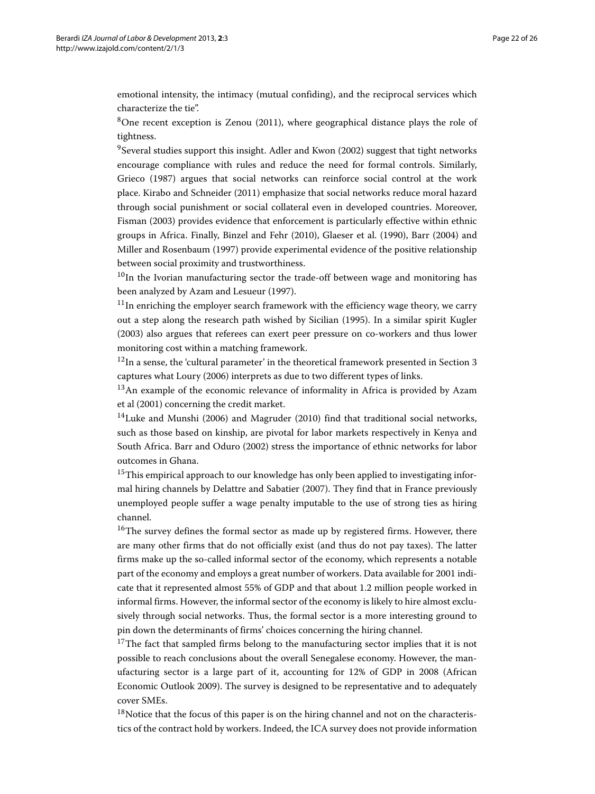emotional intensity, the intimacy (mutual confiding), and the reciprocal services which characterize the tie".

8One recent exception is Zenou [\(2011\)](#page-25-22), where geographical distance plays the role of tightness.

<sup>9</sup>Several studies support this insight. Adler and Kwon [\(2002\)](#page-24-7) suggest that tight networks encourage compliance with rules and reduce the need for formal controls. Similarly, Grieco [\(1987\)](#page-25-20) argues that social networks can reinforce social control at the work place. Kirabo and Schneider [\(2011\)](#page-25-23) emphasize that social networks reduce moral hazard through social punishment or social collateral even in developed countries. Moreover, Fisman [\(2003\)](#page-25-24) provides evidence that enforcement is particularly effective within ethnic groups in Africa. Finally, Binzel and Fehr [\(2010\)](#page-24-8), Glaeser et al. [\(1990\)](#page-25-25), Barr [\(2004\)](#page-24-9) and Miller and Rosenbaum [\(1997\)](#page-25-26) provide experimental evidence of the positive relationship between social proximity and trustworthiness.

 $10$ In the Ivorian manufacturing sector the trade-off between wage and monitoring has been analyzed by Azam and Lesueur [\(1997\)](#page-24-10).

 $11$ In enriching the employer search framework with the efficiency wage theory, we carry out a step along the research path wished by Sicilian [\(1995\)](#page-25-27). In a similar spirit Kugler [\(2003\)](#page-25-18) also argues that referees can exert peer pressure on co-workers and thus lower monitoring cost within a matching framework.

 $12$ In a sense, the 'cultural parameter' in the theoretical framework presented in Section [3](#page-3-0) captures what Loury [\(2006\)](#page-25-28) interprets as due to two different types of links.

<sup>13</sup>An example of the economic relevance of informality in Africa is provided by Azam et al [\(2001\)](#page-24-11) concerning the credit market.

 $14$ Luke and Munshi [\(2006\)](#page-25-29) and Magruder [\(2010\)](#page-25-30) find that traditional social networks, such as those based on kinship, are pivotal for labor markets respectively in Kenya and South Africa. Barr and Oduro [\(2002\)](#page-24-12) stress the importance of ethnic networks for labor outcomes in Ghana.

<sup>15</sup>This empirical approach to our knowledge has only been applied to investigating informal hiring channels by Delattre and Sabatier [\(2007\)](#page-24-2). They find that in France previously unemployed people suffer a wage penalty imputable to the use of strong ties as hiring channel.

<sup>16</sup>The survey defines the formal sector as made up by registered firms. However, there are many other firms that do not officially exist (and thus do not pay taxes). The latter firms make up the so-called informal sector of the economy, which represents a notable part of the economy and employs a great number of workers. Data available for 2001 indicate that it represented almost 55% of GDP and that about 1.2 million people worked in informal firms. However, the informal sector of the economy is likely to hire almost exclusively through social networks. Thus, the formal sector is a more interesting ground to pin down the determinants of firms' choices concerning the hiring channel.

 $17$ The fact that sampled firms belong to the manufacturing sector implies that it is not possible to reach conclusions about the overall Senegalese economy. However, the manufacturing sector is a large part of it, accounting for 12% of GDP in 2008 (African Economic Outlook [2009\)](#page-24-13). The survey is designed to be representative and to adequately cover SMEs.

<sup>18</sup>Notice that the focus of this paper is on the hiring channel and not on the characteristics of the contract hold by workers. Indeed, the ICA survey does not provide information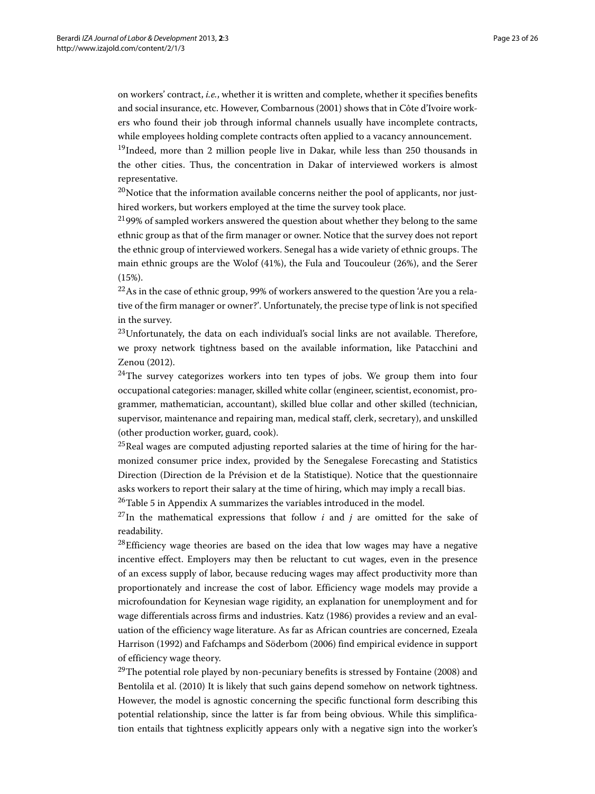on workers' contract, *i.e.*, whether it is written and complete, whether it specifies benefits and social insurance, etc. However, Combarnous [\(2001\)](#page-24-14) shows that in Côte d'Ivoire workers who found their job through informal channels usually have incomplete contracts, while employees holding complete contracts often applied to a vacancy announcement.

<sup>19</sup>Indeed, more than 2 million people live in Dakar, while less than 250 thousands in the other cities. Thus, the concentration in Dakar of interviewed workers is almost representative.

 $20$ Notice that the information available concerns neither the pool of applicants, nor justhired workers, but workers employed at the time the survey took place.

 $2199\%$  of sampled workers answered the question about whether they belong to the same ethnic group as that of the firm manager or owner. Notice that the survey does not report the ethnic group of interviewed workers. Senegal has a wide variety of ethnic groups. The main ethnic groups are the Wolof (41%), the Fula and Toucouleur (26%), and the Serer (15%).

 $22$ As in the case of ethnic group, 99% of workers answered to the question 'Are you a relative of the firm manager or owner?'. Unfortunately, the precise type of link is not specified in the survey.

<sup>23</sup>Unfortunately, the data on each individual's social links are not available. Therefore, we proxy network tightness based on the available information, like Patacchini and Zenou [\(2012\)](#page-25-31).

 $24$ The survey categorizes workers into ten types of jobs. We group them into four occupational categories: manager, skilled white collar (engineer, scientist, economist, programmer, mathematician, accountant), skilled blue collar and other skilled (technician, supervisor, maintenance and repairing man, medical staff, clerk, secretary), and unskilled (other production worker, guard, cook).

<sup>25</sup>Real wages are computed adjusting reported salaries at the time of hiring for the harmonized consumer price index, provided by the Senegalese Forecasting and Statistics Direction (Direction de la Prévision et de la Statistique). Notice that the questionnaire asks workers to report their salary at the time of hiring, which may imply a recall bias.

 $26$ Table [5](#page-18-1) in [A](#page-17-0)ppendix A summarizes the variables introduced in the model.

27In the mathematical expressions that follow *i* and *j* are omitted for the sake of readability.

 $28$ Efficiency wage theories are based on the idea that low wages may have a negative incentive effect. Employers may then be reluctant to cut wages, even in the presence of an excess supply of labor, because reducing wages may affect productivity more than proportionately and increase the cost of labor. Efficiency wage models may provide a microfoundation for Keynesian wage rigidity, an explanation for unemployment and for wage differentials across firms and industries. Katz [\(1986\)](#page-25-32) provides a review and an evaluation of the efficiency wage literature. As far as African countries are concerned, Ezeala Harrison [\(1992\)](#page-25-33) and Fafchamps and Söderbom (2006) find empirical evidence in support of efficiency wage theory.

 $29$ The potential role played by non-pecuniary benefits is stressed by Fontaine (2008) and Bentolila et al. [\(2010\)](#page-24-6) It is likely that such gains depend somehow on network tightness. However, the model is agnostic concerning the specific functional form describing this potential relationship, since the latter is far from being obvious. While this simplification entails that tightness explicitly appears only with a negative sign into the worker's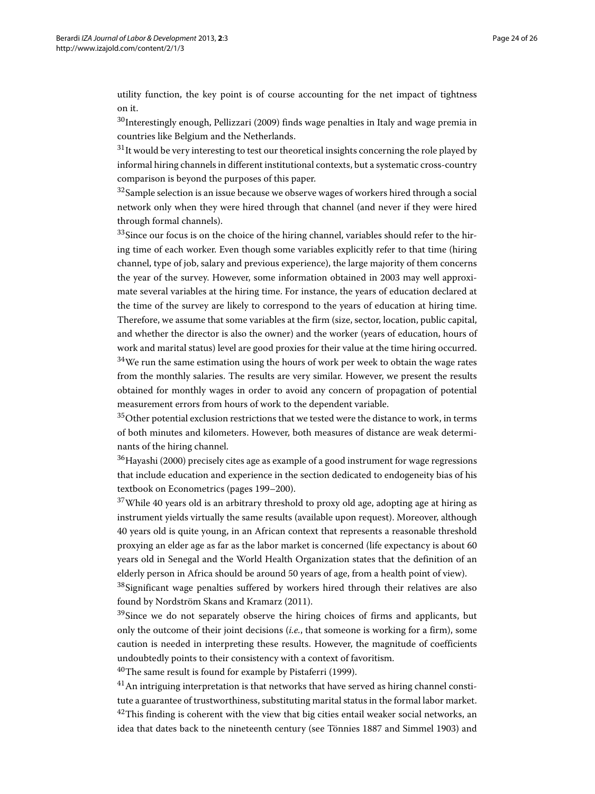utility function, the key point is of course accounting for the net impact of tightness on it.

30Interestingly enough, Pellizzari [\(2009\)](#page-25-7) finds wage penalties in Italy and wage premia in countries like Belgium and the Netherlands.

 $31$ It would be very interesting to test our theoretical insights concerning the role played by informal hiring channels in different institutional contexts, but a systematic cross-country comparison is beyond the purposes of this paper.

<sup>32</sup>Sample selection is an issue because we observe wages of workers hired through a social network only when they were hired through that channel (and never if they were hired through formal channels).

 $33$ Since our focus is on the choice of the hiring channel, variables should refer to the hiring time of each worker. Even though some variables explicitly refer to that time (hiring channel, type of job, salary and previous experience), the large majority of them concerns the year of the survey. However, some information obtained in 2003 may well approximate several variables at the hiring time. For instance, the years of education declared at the time of the survey are likely to correspond to the years of education at hiring time. Therefore, we assume that some variables at the firm (size, sector, location, public capital, and whether the director is also the owner) and the worker (years of education, hours of work and marital status) level are good proxies for their value at the time hiring occurred. <sup>34</sup>We run the same estimation using the hours of work per week to obtain the wage rates from the monthly salaries. The results are very similar. However, we present the results obtained for monthly wages in order to avoid any concern of propagation of potential measurement errors from hours of work to the dependent variable.

 $35$ Other potential exclusion restrictions that we tested were the distance to work, in terms of both minutes and kilometers. However, both measures of distance are weak determinants of the hiring channel.

<sup>36</sup>Hayashi [\(2000\)](#page-25-34) precisely cites age as example of a good instrument for wage regressions that include education and experience in the section dedicated to endogeneity bias of his textbook on Econometrics (pages 199–200).

<sup>37</sup>While 40 years old is an arbitrary threshold to proxy old age, adopting age at hiring as instrument yields virtually the same results (available upon request). Moreover, although 40 years old is quite young, in an African context that represents a reasonable threshold proxying an elder age as far as the labor market is concerned (life expectancy is about 60 years old in Senegal and the World Health Organization states that the definition of an elderly person in Africa should be around 50 years of age, from a health point of view).

<sup>38</sup>Significant wage penalties suffered by workers hired through their relatives are also found by Nordström Skans and Kramarz [\(2011\)](#page-25-35).

 $39\text{Since we do not separately observe the hiring choices of firms and applicants, but}$ only the outcome of their joint decisions (*i.e.*, that someone is working for a firm), some caution is needed in interpreting these results. However, the magnitude of coefficients undoubtedly points to their consistency with a context of favoritism.

40The same result is found for example by Pistaferri [\(1999\)](#page-25-16).

 $41$ An intriguing interpretation is that networks that have served as hiring channel constitute a guarantee of trustworthiness, substituting marital status in the formal labor market.  $42$ This finding is coherent with the view that big cities entail weaker social networks, an idea that dates back to the nineteenth century (see Tönnies [1887](#page-25-36) and Simmel [1903\)](#page-25-37) and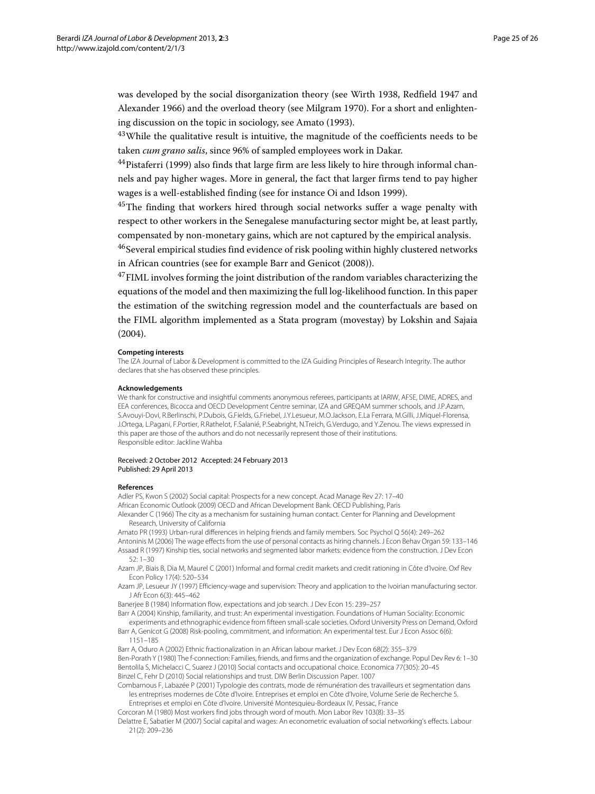was developed by the social disorganization theory (see Wirth [1938,](#page-25-38) Redfield [1947](#page-25-39) and Alexander [1966\)](#page-24-15) and the overload theory (see Milgram [1970\)](#page-25-40). For a short and enlightening discussion on the topic in sociology, see Amato [\(1993\)](#page-24-16).

 $^{43}$ While the qualitative result is intuitive, the magnitude of the coefficients needs to be taken *cum grano salis*, since 96% of sampled employees work in Dakar.

 $44$ Pistaferri [\(1999\)](#page-25-16) also finds that large firm are less likely to hire through informal channels and pay higher wages. More in general, the fact that larger firms tend to pay higher wages is a well-established finding (see for instance Oi and Idson [1999\)](#page-25-41).

 $45$ The finding that workers hired through social networks suffer a wage penalty with respect to other workers in the Senegalese manufacturing sector might be, at least partly, compensated by non-monetary gains, which are not captured by the empirical analysis.

<sup>46</sup>Several empirical studies find evidence of risk pooling within highly clustered networks in African countries (see for example Barr and Genicot [\(2008\)](#page-24-17)).

<sup>47</sup> FIML involves forming the joint distribution of the random variables characterizing the equations of the model and then maximizing the full log-likelihood function. In this paper the estimation of the switching regression model and the counterfactuals are based on the FIML algorithm implemented as a Stata program (movestay) by Lokshin and Sajaia [\(2004\)](#page-25-42).

#### **Competing interests**

The IZA Journal of Labor & Development is committed to the IZA Guiding Principles of Research Integrity. The author declares that she has observed these principles.

#### **Acknowledgements**

We thank for constructive and insightful comments anonymous referees, participants at IARIW, AFSE, DIME, ADRES, and EEA conferences, Bicocca and OECD Development Centre seminar, IZA and GREQAM summer schools, and J.P.Azam, S.Avouyi-Dovi, R.Berlinschi, P.Dubois, G.Fields, G.Friebel, J.Y.Lesueur, M.O.Jackson, E.La Ferrara, M.Gilli, J.Miquel-Florensa, J.Ortega, L.Pagani, F.Portier, R.Rathelot, F.Salanié, P.Seabright, N.Treich, G.Verdugo, and Y.Zenou. The views expressed in this paper are those of the authors and do not necessarily represent those of their institutions. Responsible editor: Jackline Wahba

#### Received: 2 October 2012 Accepted: 24 February 2013 Published: 29 April 2013

#### **References**

<span id="page-24-13"></span><span id="page-24-7"></span>Adler PS, Kwon S (2002) Social capital: Prospects for a new concept. Acad Manage Rev 27: 17–40 African Economic Outlook (2009) OECD and African Development Bank. OECD Publishing, Paris Alexander C (1966) The city as a mechanism for sustaining human contact. Center for Planning and Development Research, University of California

<span id="page-24-16"></span><span id="page-24-15"></span><span id="page-24-5"></span>Amato PR (1993) Urban-rural differences in helping friends and family members. Soc Psychol Q 56(4): 249–262 Antoninis M (2006) The wage effects from the use of personal contacts as hiring channels. J Econ Behav Organ 59: 133–146 Assaad R (1997) Kinship ties, social networks and segmented labor markets: evidence from the construction. J Dev Econ 52: 1–30

<span id="page-24-11"></span><span id="page-24-1"></span>Azam JP, Biais B, Dia M, Maurel C (2001) Informal and formal credit markets and credit rationing in Côte d'Ivoire. Oxf Rev Econ Policy 17(4): 520–534

<span id="page-24-10"></span>Azam JP, Lesueur JY (1997) Efficiency-wage and supervision: Theory and application to the Ivoirian manufacturing sector. J Afr Econ 6(3): 445–462

<span id="page-24-4"></span>Banerjee B (1984) Information flow, expectations and job search. J Dev Econ 15: 239–257

<span id="page-24-9"></span>Barr A (2004) Kinship, familiarity, and trust: An experimental investigation. Foundations of Human Sociality: Economic experiments and ethnographic evidence from fifteen small-scale societies. Oxford University Press on Demand, Oxford

<span id="page-24-17"></span>Barr A, Genicot G (2008) Risk-pooling, commitment, and information: An experimental test. Eur J Econ Assoc 6(6): 1151–185

<span id="page-24-12"></span><span id="page-24-3"></span>Barr A, Oduro A (2002) Ethnic fractionalization in an African labour market. J Dev Econ 68(2): 355–379 Ben-Porath Y (1980) The f-connection: Families, friends, and firms and the organization of exchange. Popul Dev Rev 6: 1–30 Bentolila S, Michelacci C, Suarez J (2010) Social contacts and occupational choice. Economica 77(305): 20–45 Binzel C, Fehr D (2010) Social relationships and trust. DIW Berlin Discussion Paper. 1007

<span id="page-24-14"></span><span id="page-24-8"></span><span id="page-24-6"></span>Combarnous F, Labazée P (2001) Typologie des contrats, mode de rémunération des travailleurs et segmentation dans les entreprises modernes de Côte d'Ivoire. Entreprises et emploi en Côte d'Ivoire, Volume Serie de Recherche 5. Entreprises et emploi en Côte d'Ivoire. Université Montesquieu-Bordeaux IV, Pessac, France

<span id="page-24-0"></span>Corcoran M (1980) Most workers find jobs through word of mouth. Mon Labor Rev 103(8): 33–35

<span id="page-24-2"></span>Delattre E, Sabatier M (2007) Social capital and wages: An econometric evaluation of social networking's effects. Labour 21(2): 209–236